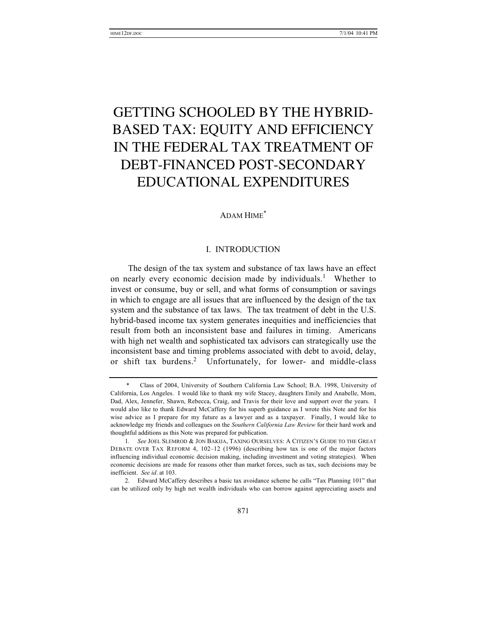# GETTING SCHOOLED BY THE HYBRID-BASED TAX: EQUITY AND EFFICIENCY IN THE FEDERAL TAX TREATMENT OF DEBT-FINANCED POST-SECONDARY EDUCATIONAL EXPENDITURES

## ADAM HIME\*

## I. INTRODUCTION

The design of the tax system and substance of tax laws have an effect on nearly every economic decision made by individuals.<sup>1</sup> Whether to invest or consume, buy or sell, and what forms of consumption or savings in which to engage are all issues that are influenced by the design of the tax system and the substance of tax laws. The tax treatment of debt in the U.S. hybrid-based income tax system generates inequities and inefficiencies that result from both an inconsistent base and failures in timing. Americans with high net wealth and sophisticated tax advisors can strategically use the inconsistent base and timing problems associated with debt to avoid, delay, or shift tax burdens.<sup>2</sup> Unfortunately, for lower- and middle-class

<sup>\*</sup> Class of 2004, University of Southern California Law School; B.A. 1998, University of California, Los Angeles. I would like to thank my wife Stacey, daughters Emily and Anabelle, Mom, Dad, Alex, Jennefer, Shawn, Rebecca, Craig, and Travis for their love and support over the years. I would also like to thank Edward McCaffery for his superb guidance as I wrote this Note and for his wise advice as I prepare for my future as a lawyer and as a taxpayer. Finally, I would like to acknowledge my friends and colleagues on the *Southern California Law Review* for their hard work and thoughtful additions as this Note was prepared for publication.

<sup>1</sup>*. See* JOEL SLEMROD & JON BAKIJA, TAXING OURSELVES: A CITIZEN'S GUIDE TO THE GREAT DEBATE OVER TAX REFORM 4, 102–12 (1996) (describing how tax is one of the major factors influencing individual economic decision making, including investment and voting strategies). When economic decisions are made for reasons other than market forces, such as tax, such decisions may be inefficient. *See id*. at 103.

<sup>2.</sup> Edward McCaffery describes a basic tax avoidance scheme he calls "Tax Planning 101" that can be utilized only by high net wealth individuals who can borrow against appreciating assets and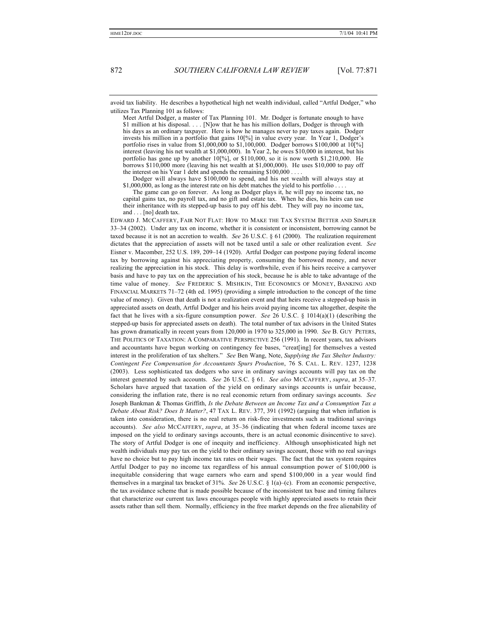avoid tax liability. He describes a hypothetical high net wealth individual, called "Artful Dodger," who utilizes Tax Planning 101 as follows:

Meet Artful Dodger, a master of Tax Planning 101. Mr. Dodger is fortunate enough to have \$1 million at his disposal. . . . [N]ow that he has his million dollars, Dodger is through with his days as an ordinary taxpayer. Here is how he manages never to pay taxes again. Dodger invests his million in a portfolio that gains 10[%] in value every year. In Year 1, Dodger's portfolio rises in value from \$1,000,000 to \$1,100,000. Dodger borrows \$100,000 at  $10[\%]$ interest (leaving his net wealth at \$1,000,000). In Year 2, he owes \$10,000 in interest, but his portfolio has gone up by another 10[%], or \$110,000, so it is now worth \$1,210,000. He borrows \$110,000 more (leaving his net wealth at \$1,000,000). He uses \$10,000 to pay off the interest on his Year 1 debt and spends the remaining \$100,000 . . . .

Dodger will always have \$100,000 to spend, and his net wealth will always stay at  $$1,000,000$ , as long as the interest rate on his debt matches the yield to his portfolio .

The game can go on forever. As long as Dodger plays it, he will pay no income tax, no capital gains tax, no payroll tax, and no gift and estate tax. When he dies, his heirs can use their inheritance with its stepped-up basis to pay off his debt. They will pay no income tax, and . . . . [no] death tax.

EDWARD J. MCCAFFERY, FAIR NOT FLAT: HOW TO MAKE THE TAX SYSTEM BETTER AND SIMPLER 33–34 (2002). Under any tax on income, whether it is consistent or inconsistent, borrowing cannot be taxed because it is not an accretion to wealth. *See* 26 U.S.C. § 61 (2000). The realization requirement dictates that the appreciation of assets will not be taxed until a sale or other realization event. *See* Eisner v. Macomber, 252 U.S. 189, 209–14 (1920). Artful Dodger can postpone paying federal income tax by borrowing against his appreciating property, consuming the borrowed money, and never realizing the appreciation in his stock. This delay is worthwhile, even if his heirs receive a carryover basis and have to pay tax on the appreciation of his stock, because he is able to take advantage of the time value of money. *See* FREDERIC S. MISHKIN, THE ECONOMICS OF MONEY, BANKING AND FINANCIAL MARKETS 71–72 (4th ed. 1995) (providing a simple introduction to the concept of the time value of money). Given that death is not a realization event and that heirs receive a stepped-up basis in appreciated assets on death, Artful Dodger and his heirs avoid paying income tax altogether, despite the fact that he lives with a six-figure consumption power. *See* 26 U.S.C. § 1014(a)(1) (describing the stepped-up basis for appreciated assets on death). The total number of tax advisors in the United States has grown dramatically in recent years from 120,000 in 1970 to 325,000 in 1990. *See* B. GUY PETERS, THE POLITICS OF TAXATION: A COMPARATIVE PERSPECTIVE 256 (1991). In recent years, tax advisors and accountants have begun working on contingency fee bases, "creat[ing] for themselves a vested interest in the proliferation of tax shelters." *See* Ben Wang, Note, *Supplying the Tax Shelter Industry: Contingent Fee Compensation for Accountants Spurs Production*, 76 S. CAL. L. REV. 1237, 1238 (2003). Less sophisticated tax dodgers who save in ordinary savings accounts will pay tax on the interest generated by such accounts. *See* 26 U.S.C. § 61. *See also* MCCAFFERY, *supra*, at 35–37. Scholars have argued that taxation of the yield on ordinary savings accounts is unfair because, considering the inflation rate, there is no real economic return from ordinary savings accounts. *See* Joseph Bankman & Thomas Griffith, *Is the Debate Between an Income Tax and a Consumption Tax a Debate About Risk? Does It Matter?*, 47 TAX L. REV. 377, 391 (1992) (arguing that when inflation is taken into consideration, there is no real return on risk-free investments such as traditional savings accounts). *See also* MCCAFFERY, *supra*, at 35–36 (indicating that when federal income taxes are imposed on the yield to ordinary savings accounts, there is an actual economic disincentive to save). The story of Artful Dodger is one of inequity and inefficiency. Although unsophisticated high net wealth individuals may pay tax on the yield to their ordinary savings account, those with no real savings have no choice but to pay high income tax rates on their wages. The fact that the tax system requires Artful Dodger to pay no income tax regardless of his annual consumption power of \$100,000 is inequitable considering that wage earners who earn and spend \$100,000 in a year would find themselves in a marginal tax bracket of 31%. *See* 26 U.S.C. § 1(a)–(c). From an economic perspective, the tax avoidance scheme that is made possible because of the inconsistent tax base and timing failures that characterize our current tax laws encourages people with highly appreciated assets to retain their assets rather than sell them. Normally, efficiency in the free market depends on the free alienability of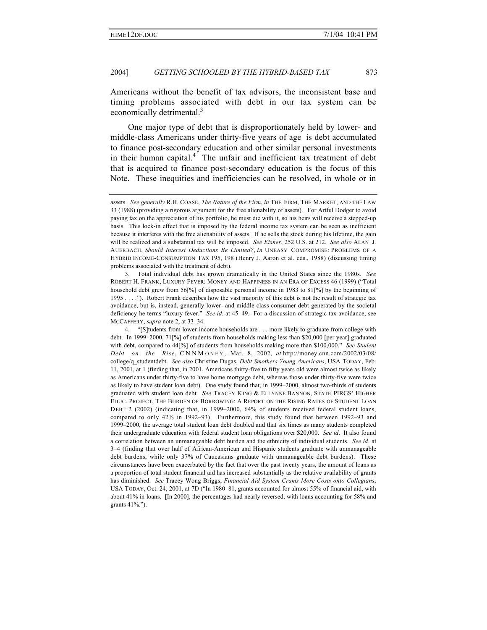Americans without the benefit of tax advisors, the inconsistent base and timing problems associated with debt in our tax system can be economically detrimental.<sup>3</sup>

One major type of debt that is disproportionately held by lower- and middle-class Americans under thirty-five years of age is debt accumulated to finance post-secondary education and other similar personal investments in their human capital.<sup>4</sup> The unfair and inefficient tax treatment of debt that is acquired to finance post-secondary education is the focus of this Note. These inequities and inefficiencies can be resolved, in whole or in

assets. *See generally* R.H. COASE, *The Nature of the Firm*, *in* THE FIRM, THE MARKET, AND THE LAW 33 (1988) (providing a rigorous argument for the free alienability of assets). For Artful Dodger to avoid paying tax on the appreciation of his portfolio, he must die with it, so his heirs will receive a stepped-up basis. This lock-in effect that is imposed by the federal income tax system can be seen as inefficient because it interferes with the free alienability of assets. If he sells the stock during his lifetime, the gain will be realized and a substantial tax will be imposed. *See Eisner*, 252 U.S. at 212. *See also* ALAN J. AUERBACH, *Should Interest Deductions Be Limited?*, *in* UNEASY COMPROMISE: PROBLEMS OF A HYBRID INCOME-CONSUMPTION TAX 195, 198 (Henry J. Aaron et al. eds., 1988) (discussing timing problems associated with the treatment of debt).

<sup>3.</sup> Total individual debt has grown dramatically in the United States since the 1980s. *See* ROBERT H. FRANK, LUXURY FEVER: MONEY AND HAPPINESS IN AN ERA OF EXCESS 46 (1999) ("Total household debt grew from 56[%] of disposable personal income in 1983 to 81[%] by the beginning of 1995 . . . ."). Robert Frank describes how the vast majority of this debt is not the result of strategic tax avoidance, but is, instead, generally lower- and middle-class consumer debt generated by the societal deficiency he terms "luxury fever." *See id.* at 45–49. For a discussion of strategic tax avoidance, see MCCAFFERY, *supra* note 2, at 33–34.

<sup>4.</sup> "[S]tudents from lower-income households are . . . more likely to graduate from college with debt. In 1999–2000, 71[%] of students from households making less than \$20,000 [per year] graduated with debt, compared to 44[%] of students from households making more than \$100,000." *See Student Debt on the Rise*, CNNM ONEY , Mar. 8, 2002, *at* http://money.cnn.com/2002/03/08/ college/q\_studentdebt. *See also* Christine Dugas, *Debt Smothers Young Americans*, USA TODAY, Feb. 11, 2001, at 1 (finding that, in 2001, Americans thirty-five to fifty years old were almost twice as likely as Americans under thirty-five to have home mortgage debt, whereas those under thirty-five were twice as likely to have student loan debt). One study found that, in 1999–2000, almost two-thirds of students graduated with student loan debt. *See* TRACEY KING & ELLYNNE BANNON, STATE PIRGS' HIGHER EDUC. PROJECT, THE BURDEN OF BORROWING: A REPORT ON THE RISING RATES OF STUDENT LOAN DEBT 2 (2002) (indicating that, in 1999–2000, 64% of students received federal student loans, compared to only 42% in 1992–93). Furthermore, this study found that between 1992–93 and 1999–2000, the average total student loan debt doubled and that six times as many students completed their undergraduate education with federal student loan obligations over \$20,000. *See id*. It also found a correlation between an unmanageable debt burden and the ethnicity of individual students. *See id*. at 3–4 (finding that over half of African-American and Hispanic students graduate with unmanageable debt burdens, while only 37% of Caucasians graduate with unmanageable debt burdens). These circumstances have been exacerbated by the fact that over the past twenty years, the amount of loans as a proportion of total student financial aid has increased substantially as the relative availability of grants has diminished. *See* Tracey Wong Briggs, *Financial Aid System Crams More Costs onto Collegians*, USA TODAY, Oct. 24, 2001, at 7D ("In 1980–81, grants accounted for almost 55% of financial aid, with about 41% in loans. [In 2000], the percentages had nearly reversed, with loans accounting for 58% and grants 41%.").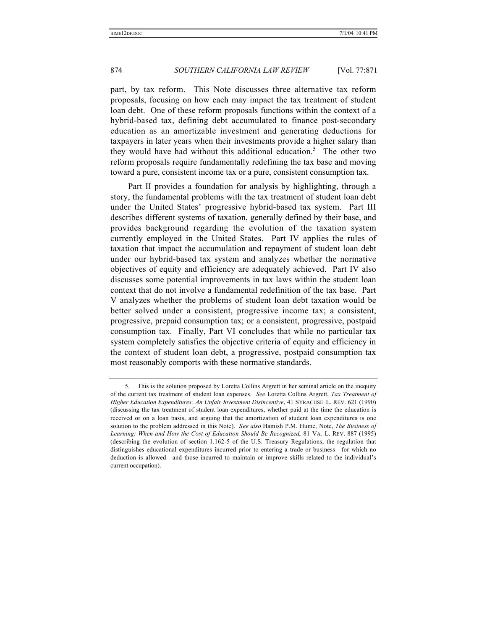part, by tax reform. This Note discusses three alternative tax reform proposals, focusing on how each may impact the tax treatment of student loan debt. One of these reform proposals functions within the context of a hybrid-based tax, defining debt accumulated to finance post-secondary education as an amortizable investment and generating deductions for taxpayers in later years when their investments provide a higher salary than they would have had without this additional education.<sup>5</sup> The other two reform proposals require fundamentally redefining the tax base and moving toward a pure, consistent income tax or a pure, consistent consumption tax.

Part II provides a foundation for analysis by highlighting, through a story, the fundamental problems with the tax treatment of student loan debt under the United States' progressive hybrid-based tax system. Part III describes different systems of taxation, generally defined by their base, and provides background regarding the evolution of the taxation system currently employed in the United States. Part IV applies the rules of taxation that impact the accumulation and repayment of student loan debt under our hybrid-based tax system and analyzes whether the normative objectives of equity and efficiency are adequately achieved. Part IV also discusses some potential improvements in tax laws within the student loan context that do not involve a fundamental redefinition of the tax base. Part V analyzes whether the problems of student loan debt taxation would be better solved under a consistent, progressive income tax; a consistent, progressive, prepaid consumption tax; or a consistent, progressive, postpaid consumption tax. Finally, Part VI concludes that while no particular tax system completely satisfies the objective criteria of equity and efficiency in the context of student loan debt, a progressive, postpaid consumption tax most reasonably comports with these normative standards.

<sup>5.</sup> This is the solution proposed by Loretta Collins Argrett in her seminal article on the inequity of the current tax treatment of student loan expenses. *See* Loretta Collins Argrett, *Tax Treatment of Higher Education Expenditures: An Unfair Investment Disincentive*, 41 SYRACUSE L. REV. 621 (1990) (discussing the tax treatment of student loan expenditures, whether paid at the time the education is received or on a loan basis, and arguing that the amortization of student loan expenditures is one solution to the problem addressed in this Note). *See also* Hamish P.M. Hume, Note, *The Business of Learning: When and How the Cost of Education Should Be Recognized*, 81 VA. L. REV. 887 (1995) (describing the evolution of section 1.162-5 of the U.S. Treasury Regulations, the regulation that distinguishes educational expenditures incurred prior to entering a trade or business—for which no deduction is allowed—and those incurred to maintain or improve skills related to the individual's current occupation).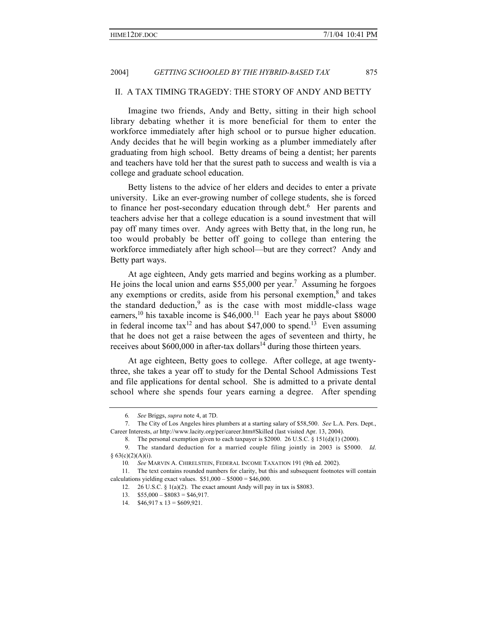## II. A TAX TIMING TRAGEDY: THE STORY OF ANDY AND BETTY

Imagine two friends, Andy and Betty, sitting in their high school library debating whether it is more beneficial for them to enter the workforce immediately after high school or to pursue higher education. Andy decides that he will begin working as a plumber immediately after graduating from high school. Betty dreams of being a dentist; her parents and teachers have told her that the surest path to success and wealth is via a college and graduate school education.

Betty listens to the advice of her elders and decides to enter a private university. Like an ever-growing number of college students, she is forced to finance her post-secondary education through debt.<sup>6</sup> Her parents and teachers advise her that a college education is a sound investment that will pay off many times over. Andy agrees with Betty that, in the long run, he too would probably be better off going to college than entering the workforce immediately after high school—but are they correct? Andy and Betty part ways.

At age eighteen, Andy gets married and begins working as a plumber. He joins the local union and earns \$55,000 per year.<sup>7</sup> Assuming he forgoes any exemptions or credits, aside from his personal exemption, $\frac{8}{3}$  and takes the standard deduction,<sup>9</sup> as is the case with most middle-class wage earners,<sup>10</sup> his taxable income is \$46,000.<sup>11</sup> Each year he pays about \$8000 in federal income tax<sup>12</sup> and has about \$47,000 to spend.<sup>13</sup> Even assuming that he does not get a raise between the ages of seventeen and thirty, he receives about  $$600,000$  in after-tax dollars<sup>14</sup> during those thirteen years.

At age eighteen, Betty goes to college. After college, at age twentythree, she takes a year off to study for the Dental School Admissions Test and file applications for dental school. She is admitted to a private dental school where she spends four years earning a degree. After spending

<sup>6</sup>*. See* Briggs, *supra* note 4, at 7D.

<sup>7.</sup> The City of Los Angeles hires plumbers at a starting salary of \$58,500. *See* L.A. Pers. Dept., Career Interests, *at* http://www.lacity.org/per/career.htm#Skilled (last visited Apr. 13, 2004).

<sup>8.</sup> The personal exemption given to each taxpayer is \$2000. 26 U.S.C. § 151(d)(1) (2000).

<sup>9.</sup> The standard deduction for a married couple filing jointly in 2003 is \$5000. *Id*.  $§ 63(c)(2)(A)(i).$ 

<sup>10</sup>*. See* MARVIN A. CHIRELSTEIN, FEDERAL INCOME TAXATION 191 (9th ed. 2002).

<sup>11.</sup> The text contains rounded numbers for clarity, but this and subsequent footnotes will contain calculations yielding exact values.  $$51,000 - $5000 = $46,000$ .

<sup>12.</sup> 26 U.S.C. § 1(a)(2). The exact amount Andy will pay in tax is \$8083.

<sup>13.</sup>  $$55,000 - $8083 = $46,917$ .

<sup>14.</sup>  $$46,917 \times 13 = $609,921$ .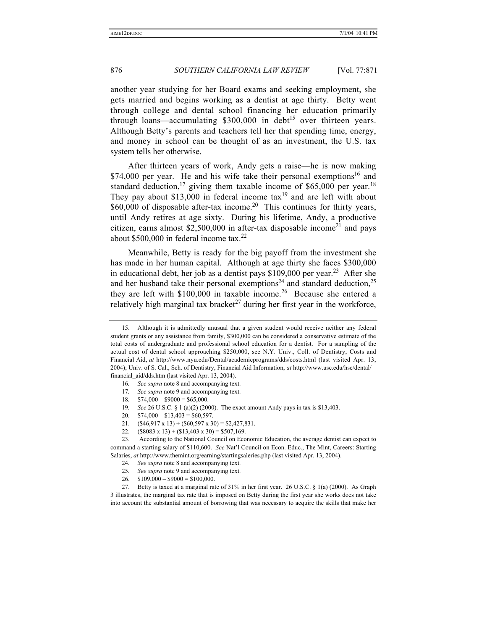another year studying for her Board exams and seeking employment, she gets married and begins working as a dentist at age thirty. Betty went through college and dental school financing her education primarily through loans—accumulating  $$300,000$  in debt<sup>15</sup> over thirteen years. Although Betty's parents and teachers tell her that spending time, energy, and money in school can be thought of as an investment, the U.S. tax system tells her otherwise.

After thirteen years of work, Andy gets a raise—he is now making \$74,000 per year. He and his wife take their personal exemptions<sup>16</sup> and standard deduction,<sup>17</sup> giving them taxable income of \$65,000 per year.<sup>18</sup> They pay about \$13,000 in federal income  $\text{tax}^{19}$  and are left with about  $$60,000$  of disposable after-tax income.<sup>20</sup> This continues for thirty years, until Andy retires at age sixty. During his lifetime, Andy, a productive citizen, earns almost \$2,500,000 in after-tax disposable income<sup>21</sup> and pays about \$500,000 in federal income tax.<sup>22</sup>

Meanwhile, Betty is ready for the big payoff from the investment she has made in her human capital. Although at age thirty she faces \$300,000 in educational debt, her job as a dentist pays \$109,000 per year.<sup>23</sup> After she and her husband take their personal exemptions<sup>24</sup> and standard deduction,<sup>25</sup> they are left with  $$100,000$  in taxable income.<sup>26</sup> Because she entered a relatively high marginal tax bracket<sup>27</sup> during her first year in the workforce,

- 21.  $(\$46,917 \times 13) + (\$60,597 \times 30) = \$2,427,831.$
- 22.  $($8083 \times 13) + ($13,403 \times 30) = $507,169.$

23. According to the National Council on Economic Education, the average dentist can expect to command a starting salary of \$110,600. *See* Nat'l Council on Econ. Educ., The Mint, Careers: Starting Salaries, *at* http://www.themint.org/earning/startingsaleries.php (last visited Apr. 13, 2004).

- 24*. See supra* note 8 and accompanying text.
- 25*. See supra* note 9 and accompanying text.
- 26.  $$109,000 $9000 = $100,000$ .

27. Betty is taxed at a marginal rate of 31% in her first year. 26 U.S.C. § 1(a) (2000). As Graph 3 illustrates, the marginal tax rate that is imposed on Betty during the first year she works does not take into account the substantial amount of borrowing that was necessary to acquire the skills that make her

<sup>15.</sup> Although it is admittedly unusual that a given student would receive neither any federal student grants or any assistance from family, \$300,000 can be considered a conservative estimate of the total costs of undergraduate and professional school education for a dentist. For a sampling of the actual cost of dental school approaching \$250,000, see N.Y. Univ., Coll. of Dentistry, Costs and Financial Aid, *at* http://www.nyu.edu/Dental/academicprograms/dds/costs.html (last visited Apr. 13, 2004); Univ. of S. Cal., Sch. of Dentistry, Financial Aid Information, *at* http://www.usc.edu/hsc/dental/ financial\_aid/dds.htm (last visited Apr. 13, 2004).

<sup>16</sup>*. See supra* note 8 and accompanying text.

<sup>17</sup>*. See supra* note 9 and accompanying text.

<sup>18.</sup>  $$74,000 - $9000 = $65,000$ .

<sup>19</sup>*. See* 26 U.S.C. § 1 (a)(2) (2000). The exact amount Andy pays in tax is \$13,403.

<sup>20.</sup>  $$74,000 - $13,403 = $60,597$ .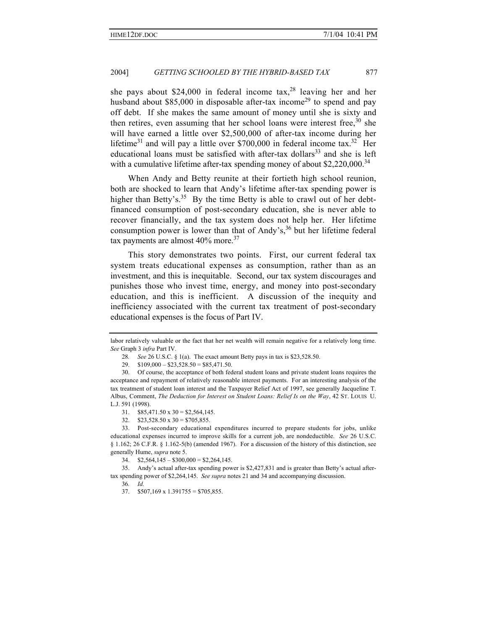she pays about \$24,000 in federal income tax,<sup>28</sup> leaving her and her husband about \$85,000 in disposable after-tax income<sup>29</sup> to spend and pay off debt. If she makes the same amount of money until she is sixty and then retires, even assuming that her school loans were interest free,  $30$  she will have earned a little over \$2,500,000 of after-tax income during her lifetime<sup>31</sup> and will pay a little over \$700,000 in federal income tax.<sup>32</sup> Her educational loans must be satisfied with after-tax dollars<sup>33</sup> and she is left with a cumulative lifetime after-tax spending money of about  $$2,220,000$ .<sup>34</sup>

When Andy and Betty reunite at their fortieth high school reunion, both are shocked to learn that Andy's lifetime after-tax spending power is higher than Betty's.<sup>35</sup> By the time Betty is able to crawl out of her debtfinanced consumption of post-secondary education, she is never able to recover financially, and the tax system does not help her. Her lifetime consumption power is lower than that of Andy's, $36$  but her lifetime federal tax payments are almost 40% more.<sup>37</sup>

This story demonstrates two points. First, our current federal tax system treats educational expenses as consumption, rather than as an investment, and this is inequitable. Second, our tax system discourages and punishes those who invest time, energy, and money into post-secondary education, and this is inefficient. A discussion of the inequity and inefficiency associated with the current tax treatment of post-secondary educational expenses is the focus of Part IV.

labor relatively valuable or the fact that her net wealth will remain negative for a relatively long time. *See* Graph 3 *infra* Part IV.

<sup>28</sup>*. See* 26 U.S.C. § 1(a). The exact amount Betty pays in tax is \$23,528.50.

<sup>29.</sup>  $$109,000 - $23,528.50 = $85,471.50$ .

<sup>30.</sup> Of course, the acceptance of both federal student loans and private student loans requires the acceptance and repayment of relatively reasonable interest payments. For an interesting analysis of the tax treatment of student loan interest and the Taxpayer Relief Act of 1997, see generally Jacqueline T. Albus, Comment, *The Deduction for Interest on Student Loans: Relief Is on the Way*, 42 ST. LOUIS U. L.J. 591 (1998).

<sup>31.</sup>  $$85,471.50 \times 30 = $2,564,145$ .

<sup>32.</sup>  $$23,528.50 \times 30 = $705,855$ .

<sup>33.</sup> Post-secondary educational expenditures incurred to prepare students for jobs, unlike educational expenses incurred to improve skills for a current job, are nondeductible. *See* 26 U.S.C. § 1.162; 26 C.F.R. § 1.162-5(b) (amended 1967). For a discussion of the history of this distinction, see generally Hume, *supra* note 5.

<sup>34.</sup>  $$2,564,145 - $300,000 = $2,264,145$ .

<sup>35.</sup> Andy's actual after-tax spending power is \$2,427,831 and is greater than Betty's actual aftertax spending power of \$2,264,145. *See supra* notes 21 and 34 and accompanying discussion.

<sup>36</sup>*. Id.*

<sup>37.</sup>  $$507,169 \times 1.391755 = $705,855.$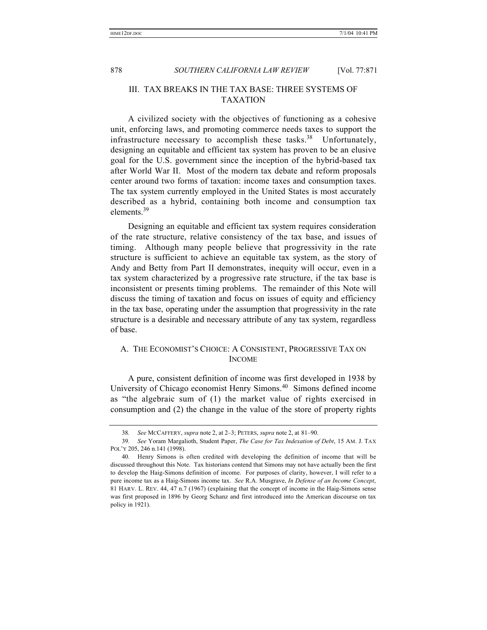## III. TAX BREAKS IN THE TAX BASE: THREE SYSTEMS OF TAXATION

A civilized society with the objectives of functioning as a cohesive unit, enforcing laws, and promoting commerce needs taxes to support the infrastructure necessary to accomplish these tasks.<sup>38</sup> Unfortunately, designing an equitable and efficient tax system has proven to be an elusive goal for the U.S. government since the inception of the hybrid-based tax after World War II. Most of the modern tax debate and reform proposals center around two forms of taxation: income taxes and consumption taxes. The tax system currently employed in the United States is most accurately described as a hybrid, containing both income and consumption tax elements.39

Designing an equitable and efficient tax system requires consideration of the rate structure, relative consistency of the tax base, and issues of timing. Although many people believe that progressivity in the rate structure is sufficient to achieve an equitable tax system, as the story of Andy and Betty from Part II demonstrates, inequity will occur, even in a tax system characterized by a progressive rate structure, if the tax base is inconsistent or presents timing problems. The remainder of this Note will discuss the timing of taxation and focus on issues of equity and efficiency in the tax base, operating under the assumption that progressivity in the rate structure is a desirable and necessary attribute of any tax system, regardless of base.

## A. THE ECONOMIST'S CHOICE: A CONSISTENT, PROGRESSIVE TAX ON INCOME

A pure, consistent definition of income was first developed in 1938 by University of Chicago economist Henry Simons.<sup>40</sup> Simons defined income as "the algebraic sum of (1) the market value of rights exercised in consumption and (2) the change in the value of the store of property rights

<sup>38</sup>*. See* MCCAFFERY, *supra* note 2, at 2–3; PETERS, *supra* note 2, at 81–90.

<sup>39</sup>*. See* Yoram Margalioth, Student Paper, *The Case for Tax Indexation of Debt*, 15 AM. J. TAX POL'Y 205, 246 n.141 (1998).

<sup>40.</sup> Henry Simons is often credited with developing the definition of income that will be discussed throughout this Note. Tax historians contend that Simons may not have actually been the first to develop the Haig-Simons definition of income. For purposes of clarity, however, I will refer to a pure income tax as a Haig-Simons income tax. *See* R.A. Musgrave, *In Defense of an Income Concept*, 81 HARV. L. REV. 44, 47 n.7 (1967) (explaining that the concept of income in the Haig-Simons sense was first proposed in 1896 by Georg Schanz and first introduced into the American discourse on tax policy in 1921).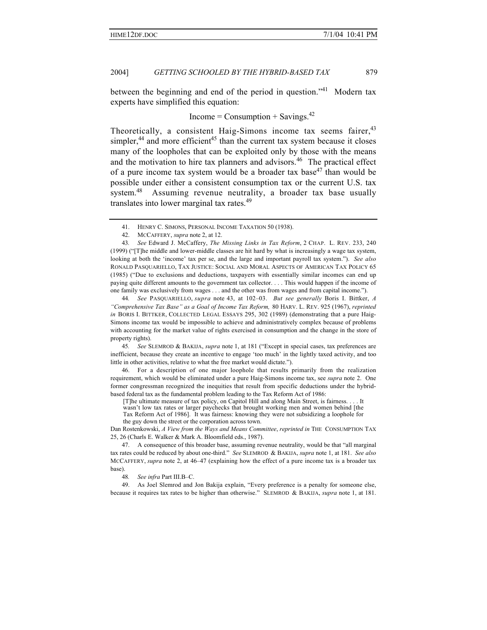between the beginning and end of the period in question."<sup>41</sup> Modern tax experts have simplified this equation:

 $Income = Consumption + Savings.<sup>42</sup>$ 

Theoretically, a consistent Haig-Simons income tax seems fairer,<sup>43</sup> simpler,<sup>44</sup> and more efficient<sup>45</sup> than the current tax system because it closes many of the loopholes that can be exploited only by those with the means and the motivation to hire tax planners and advisors.<sup>46</sup> The practical effect of a pure income tax system would be a broader tax base<sup>47</sup> than would be possible under either a consistent consumption tax or the current U.S. tax system.<sup>48</sup> Assuming revenue neutrality, a broader tax base usually translates into lower marginal tax rates.<sup>49</sup>

45*. See* SLEMROD & BAKIJA, *supra* note 1, at 181 ("Except in special cases, tax preferences are inefficient, because they create an incentive to engage 'too much' in the lightly taxed activity, and too little in other activities, relative to what the free market would dictate.").

46. For a description of one major loophole that results primarily from the realization requirement, which would be eliminated under a pure Haig-Simons income tax, see *supra* note 2. One former congressman recognized the inequities that result from specific deductions under the hybridbased federal tax as the fundamental problem leading to the Tax Reform Act of 1986:

[T]he ultimate measure of tax policy, on Capitol Hill and along Main Street, is fairness. . wasn't low tax rates or larger paychecks that brought working men and women behind [the Tax Reform Act of 1986]. It was fairness: knowing they were not subsidizing a loophole for the guy down the street or the corporation across town.

Dan Rostenkowski, *A View from the Ways and Means Committee*, *reprinted in* THE CONSUMPTION TAX 25, 26 (Charls E. Walker & Mark A. Bloomfield eds., 1987).

48*. See infra* Part III.B–C.

49. As Joel Slemrod and Jon Bakija explain, "Every preference is a penalty for someone else, because it requires tax rates to be higher than otherwise." SLEMROD & BAKIJA, *supra* note 1, at 181.

<sup>41.</sup> HENRY C. SIMONS, PERSONAL INCOME TAXATION 50 (1938).

<sup>42.</sup> MCCAFFERY, *supra* note 2, at 12.

<sup>43</sup>*. See* Edward J. McCaffery, *The Missing Links in Tax Reform*, 2 CHAP. L. REV. 233, 240 (1999) ("[T]he middle and lower-middle classes are hit hard by what is increasingly a wage tax system, looking at both the 'income' tax per se, and the large and important payroll tax system."). *See also* RONALD PASQUARIELLO, TAX JUSTICE: SOCIAL AND MORAL ASPECTS OF AMERICAN TAX POLICY 65 (1985) ("Due to exclusions and deductions, taxpayers with essentially similar incomes can end up paying quite different amounts to the government tax collector. . . . This would happen if the income of one family was exclusively from wages . . . and the other was from wages and from capital income.").

<sup>44</sup>*. See* PASQUARIELLO, *supra* note 43, at 102–03. *But see generally* Boris I. Bittker, *A "Comprehensive Tax Base" as a Goal of Income Tax Reform,* 80 HARV. L. REV. 925 (1967), *reprinted in* BORIS I. BITTKER, COLLECTED LEGAL ESSAYS 295, 302 (1989) (demonstrating that a pure Haig-Simons income tax would be impossible to achieve and administratively complex because of problems with accounting for the market value of rights exercised in consumption and the change in the store of property rights).

<sup>47.</sup> A consequence of this broader base, assuming revenue neutrality, would be that "all marginal tax rates could be reduced by about one-third." *See* SLEMROD & BAKIJA, *supra* note 1, at 181. *See also* MCCAFFERY, *supra* note 2, at 46–47 (explaining how the effect of a pure income tax is a broader tax base).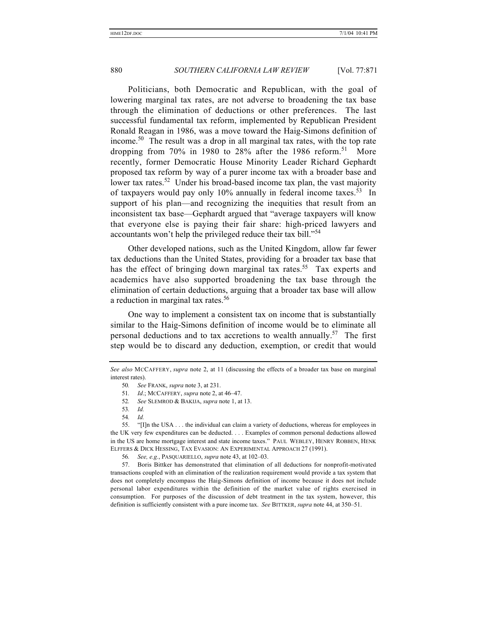Politicians, both Democratic and Republican, with the goal of lowering marginal tax rates, are not adverse to broadening the tax base through the elimination of deductions or other preferences. The last successful fundamental tax reform, implemented by Republican President Ronald Reagan in 1986, was a move toward the Haig-Simons definition of income.<sup>50</sup> The result was a drop in all marginal tax rates, with the top rate dropping from 70% in 1980 to 28% after the 1986 reform.<sup>51</sup> More recently, former Democratic House Minority Leader Richard Gephardt proposed tax reform by way of a purer income tax with a broader base and lower tax rates.<sup>52</sup> Under his broad-based income tax plan, the vast majority of taxpayers would pay only 10% annually in federal income taxes.<sup>53</sup> In support of his plan—and recognizing the inequities that result from an inconsistent tax base—Gephardt argued that "average taxpayers will know that everyone else is paying their fair share: high-priced lawyers and accountants won't help the privileged reduce their tax bill."<sup>54</sup>

Other developed nations, such as the United Kingdom, allow far fewer tax deductions than the United States, providing for a broader tax base that has the effect of bringing down marginal tax rates.<sup>55</sup> Tax experts and academics have also supported broadening the tax base through the elimination of certain deductions, arguing that a broader tax base will allow a reduction in marginal tax rates.<sup>56</sup>

One way to implement a consistent tax on income that is substantially similar to the Haig-Simons definition of income would be to eliminate all personal deductions and to tax accretions to wealth annually.<sup>57</sup> The first step would be to discard any deduction, exemption, or credit that would

*See also* MCCAFFERY, *supra* note 2, at 11 (discussing the effects of a broader tax base on marginal interest rates).

<sup>50</sup>*. See* FRANK, *supra* note 3, at 231.

<sup>51</sup>*. Id*.; MCCAFFERY, *supra* note 2, at 46–47.

<sup>52</sup>*. See* SLEMROD & BAKIJA, *supra* note 1, at 13.

<sup>53</sup>*. Id.*

<sup>54</sup>*. Id.*

<sup>55.</sup> "[I]n the USA . . . the individual can claim a variety of deductions, whereas for employees in the UK very few expenditures can be deducted. . . . Examples of common personal deductions allowed in the US are home mortgage interest and state income taxes."PAUL WEBLEY, HENRY ROBBEN, HENK ELFFERS & DICK HESSING, TAX EVASION: AN EXPERIMENTAL APPROACH 27 (1991).

<sup>56</sup>*. See, e.g.*, PASQUARIELLO, *supra* note 43, at 102–03.

<sup>57.</sup> Boris Bittker has demonstrated that elimination of all deductions for nonprofit-motivated transactions coupled with an elimination of the realization requirement would provide a tax system that does not completely encompass the Haig-Simons definition of income because it does not include personal labor expenditures within the definition of the market value of rights exercised in consumption. For purposes of the discussion of debt treatment in the tax system, however, this definition is sufficiently consistent with a pure income tax. *See* BITTKER, *supra* note 44, at 350–51.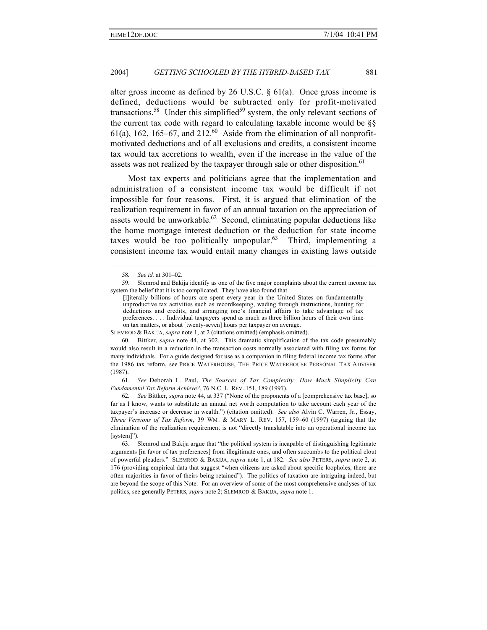alter gross income as defined by 26 U.S.C. § 61(a). Once gross income is defined, deductions would be subtracted only for profit-motivated transactions.<sup>58</sup> Under this simplified<sup>59</sup> system, the only relevant sections of the current tax code with regard to calculating taxable income would be §§  $61(a)$ , 162, 165–67, and 212.<sup>60</sup> Aside from the elimination of all nonprofitmotivated deductions and of all exclusions and credits, a consistent income tax would tax accretions to wealth, even if the increase in the value of the assets was not realized by the taxpayer through sale or other disposition.<sup>61</sup>

Most tax experts and politicians agree that the implementation and administration of a consistent income tax would be difficult if not impossible for four reasons. First, it is argued that elimination of the realization requirement in favor of an annual taxation on the appreciation of assets would be unworkable. $62$  Second, eliminating popular deductions like the home mortgage interest deduction or the deduction for state income taxes would be too politically unpopular.<sup>63</sup> Third, implementing a consistent income tax would entail many changes in existing laws outside

SLEMROD & BAKIJA, *supra* note 1, at 2 (citations omitted) (emphasis omitted).

60. Bittker, *supra* note 44, at 302. This dramatic simplification of the tax code presumably would also result in a reduction in the transaction costs normally associated with filing tax forms for many individuals. For a guide designed for use as a companion in filing federal income tax forms after the 1986 tax reform, see PRICE WATERHOUSE, THE PRICE WATERHOUSE PERSONAL TAX ADVISER (1987).

61*. See* Deborah L. Paul, *The Sources of Tax Complexity: How Much Simplicity Can Fundamental Tax Reform Achieve?*, 76 N.C. L. REV. 151, 189 (1997).

62*. See* Bittker, *supra* note 44, at 337 ("None of the proponents of a [comprehensive tax base], so far as I know, wants to substitute an annual net worth computation to take account each year of the taxpayer's increase or decrease in wealth.") (citation omitted). *See also* Alvin C. Warren, Jr., Essay, *Three Versions of Tax Reform*, 39 WM. & MARY L. REV. 157, 159–60 (1997) (arguing that the elimination of the realization requirement is not "directly translatable into an operational income tax [system]").

63. Slemrod and Bakija argue that "the political system is incapable of distinguishing legitimate arguments [in favor of tax preferences] from illegitimate ones, and often succumbs to the political clout of powerful pleaders." SLEMROD & BAKIJA, *supra* note 1, at 182. *See also* PETERS, *supra* note 2, at 176 (providing empirical data that suggest "when citizens are asked about specific loopholes, there are often majorities in favor of theirs being retained"). The politics of taxation are intriguing indeed, but are beyond the scope of this Note. For an overview of some of the most comprehensive analyses of tax politics, see generally PETERS, *supra* note 2; SLEMROD & BAKIJA, *supra* note 1.

<sup>58</sup>*. See id.* at 301–02.

<sup>59.</sup> Slemrod and Bakija identify as one of the five major complaints about the current income tax system the belief that it is too complicated. They have also found that

<sup>[</sup>l]iterally billions of hours are spent every year in the United States on fundamentally unproductive tax activities such as recordkeeping, wading through instructions, hunting for deductions and credits, and arranging one's financial affairs to take advantage of tax preferences. . . . Individual taxpayers spend as much as three billion hours of their own time on tax matters, or about [twenty-seven] hours per taxpayer on average.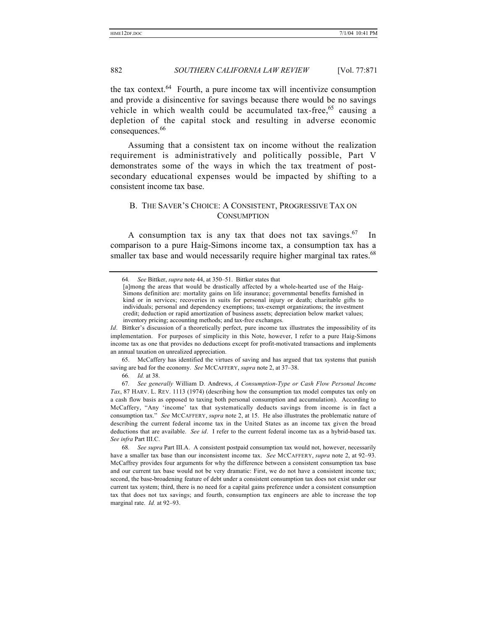the tax context.<sup>64</sup> Fourth, a pure income tax will incentivize consumption and provide a disincentive for savings because there would be no savings vehicle in which wealth could be accumulated tax-free,  $65$  causing a depletion of the capital stock and resulting in adverse economic consequences.<sup>66</sup>

Assuming that a consistent tax on income without the realization requirement is administratively and politically possible, Part V demonstrates some of the ways in which the tax treatment of postsecondary educational expenses would be impacted by shifting to a consistent income tax base.

## B. THE SAVER'S CHOICE: A CONSISTENT, PROGRESSIVE TAX ON **CONSUMPTION**

A consumption tax is any tax that does not tax savings.<sup>67</sup> In comparison to a pure Haig-Simons income tax, a consumption tax has a smaller tax base and would necessarily require higher marginal tax rates.<sup>68</sup>

65. McCaffery has identified the virtues of saving and has argued that tax systems that punish saving are bad for the economy. *See* MCCAFFERY, *supra* note 2, at 37–38.

67*. See generally* William D. Andrews, *A Consumption-Type or Cash Flow Personal Income Tax*, 87 HARV. L. REV. 1113 (1974) (describing how the consumption tax model computes tax only on a cash flow basis as opposed to taxing both personal consumption and accumulation). According to McCaffery, "Any 'income' tax that systematically deducts savings from income is in fact a consumption tax." *See* MCCAFFERY, *supra* note 2, at 15. He also illustrates the problematic nature of describing the current federal income tax in the United States as an income tax given the broad deductions that are available. *See id*. I refer to the current federal income tax as a hybrid-based tax. *See infra* Part III.C.

<sup>64</sup>*. See* Bittker, *supra* note 44, at 350–51. Bittker states that

<sup>[</sup>a]mong the areas that would be drastically affected by a whole-hearted use of the Haig-Simons definition are: mortality gains on life insurance; governmental benefits furnished in kind or in services; recoveries in suits for personal injury or death; charitable gifts to individuals; personal and dependency exemptions; tax-exempt organizations; the investment credit; deduction or rapid amortization of business assets; depreciation below market values; inventory pricing; accounting methods; and tax-free exchanges.

*Id*. Bittker's discussion of a theoretically perfect, pure income tax illustrates the impossibility of its implementation. For purposes of simplicity in this Note, however, I refer to a pure Haig-Simons income tax as one that provides no deductions except for profit-motivated transactions and implements an annual taxation on unrealized appreciation.

<sup>66</sup>*. Id.* at 38.

<sup>68</sup>*. See supra* Part III.A. A consistent postpaid consumption tax would not, however, necessarily have a smaller tax base than our inconsistent income tax. *See* MCCAFFERY, *supra* note 2, at 92–93. McCaffrey provides four arguments for why the difference between a consistent consumption tax base and our current tax base would not be very dramatic: First, we do not have a consistent income tax; second, the base-broadening feature of debt under a consistent consumption tax does not exist under our current tax system; third, there is no need for a capital gains preference under a consistent consumption tax that does not tax savings; and fourth, consumption tax engineers are able to increase the top marginal rate. *Id.* at 92–93.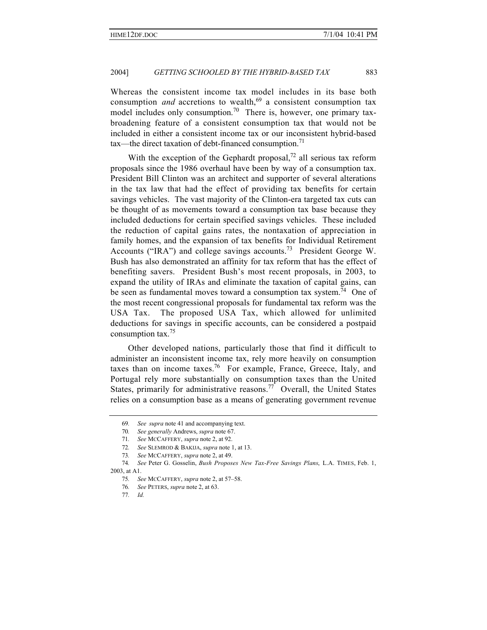Whereas the consistent income tax model includes in its base both consumption *and* accretions to wealth,<sup>69</sup> a consistent consumption tax model includes only consumption.<sup>70</sup> There is, however, one primary taxbroadening feature of a consistent consumption tax that would not be included in either a consistent income tax or our inconsistent hybrid-based tax—the direct taxation of debt-financed consumption.<sup>71</sup>

With the exception of the Gephardt proposal,<sup>72</sup> all serious tax reform proposals since the 1986 overhaul have been by way of a consumption tax. President Bill Clinton was an architect and supporter of several alterations in the tax law that had the effect of providing tax benefits for certain savings vehicles. The vast majority of the Clinton-era targeted tax cuts can be thought of as movements toward a consumption tax base because they included deductions for certain specified savings vehicles. These included the reduction of capital gains rates, the nontaxation of appreciation in family homes, and the expansion of tax benefits for Individual Retirement Accounts ("IRA") and college savings accounts.<sup>73</sup> President George W. Bush has also demonstrated an affinity for tax reform that has the effect of benefiting savers. President Bush's most recent proposals, in 2003, to expand the utility of IRAs and eliminate the taxation of capital gains, can be seen as fundamental moves toward a consumption tax system.<sup>74</sup> One of the most recent congressional proposals for fundamental tax reform was the USA Tax. The proposed USA Tax, which allowed for unlimited deductions for savings in specific accounts, can be considered a postpaid consumption tax.75

Other developed nations, particularly those that find it difficult to administer an inconsistent income tax, rely more heavily on consumption taxes than on income taxes.<sup>76</sup> For example, France, Greece, Italy, and Portugal rely more substantially on consumption taxes than the United States, primarily for administrative reasons.<sup>77</sup> Overall, the United States relies on a consumption base as a means of generating government revenue

<sup>69</sup>*. See supra* note 41 and accompanying text.

<sup>70</sup>*. See generally* Andrews, *supra* note 67.

<sup>71</sup>*. See* MCCAFFERY, *supra* note 2, at 92.

<sup>72</sup>*. See* SLEMROD & BAKIJA, *supra* note 1, at 13.

<sup>73</sup>*. See* MCCAFFERY, *supra* note 2, at 49.

<sup>74</sup>*. See* Peter G. Gosselin, *Bush Proposes New Tax-Free Savings Plans*, L.A. TIMES, Feb. 1, 2003, at A1.

<sup>75</sup>*. See* MCCAFFERY, *supra* note 2, at 57–58.

<sup>76</sup>*. See* PETERS, *supra* note 2, at 63.

<sup>77</sup>*. Id.*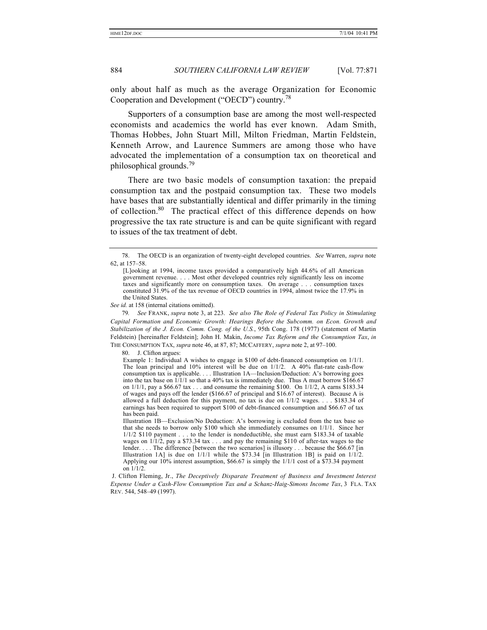only about half as much as the average Organization for Economic Cooperation and Development ("OECD") country.78

Supporters of a consumption base are among the most well-respected economists and academics the world has ever known. Adam Smith, Thomas Hobbes, John Stuart Mill, Milton Friedman, Martin Feldstein, Kenneth Arrow, and Laurence Summers are among those who have advocated the implementation of a consumption tax on theoretical and philosophical grounds.<sup>79</sup>

There are two basic models of consumption taxation: the prepaid consumption tax and the postpaid consumption tax. These two models have bases that are substantially identical and differ primarily in the timing of collection.<sup>80</sup> The practical effect of this difference depends on how progressive the tax rate structure is and can be quite significant with regard to issues of the tax treatment of debt.

*See id.* at 158 (internal citations omitted).

79*. See* FRANK, *supra* note 3, at 223. *See also The Role of Federal Tax Policy in Stimulating Capital Formation and Economic Growth: Hearings Before the Subcomm. on Econ. Growth and Stabilization of the J. Econ. Comm. Cong. of the U.S.*, 95th Cong. 178 (1977) (statement of Martin Feldstein) [hereinafter Feldstein]; John H. Makin, *Income Tax Reform and the Consumption Tax*, *in* THE CONSUMPTION TAX, *supra* note 46, at 87, 87; MCCAFFERY, *supra* note 2, at 97–100.

80. J. Clifton argues:

Example 1: Individual A wishes to engage in \$100 of debt-financed consumption on 1/1/1. The loan principal and  $10\%$  interest will be due on  $1/1/2$ . A 40% flat-rate cash-flow consumption tax is applicable. . . . Illustration 1A—Inclusion/Deduction: A's borrowing goes into the tax base on  $1/1/1$  so that a 40% tax is immediately due. Thus A must borrow \$166.67 on 1/1/1, pay a \$66.67 tax . . . and consume the remaining \$100. On 1/1/2, A earns \$183.34 of wages and pays off the lender (\$166.67 of principal and \$16.67 of interest). Because A is allowed a full deduction for this payment, no tax is due on 1/1/2 wages. . . . \$183.34 of earnings has been required to support \$100 of debt-financed consumption and \$66.67 of tax has been paid.

Illustration 1B—Exclusion/No Deduction: A's borrowing is excluded from the tax base so that she needs to borrow only \$100 which she immediately consumes on 1/1/1. Since her 1/1/2 \$110 payment . . . to the lender is nondeductible, she must earn \$183.34 of taxable wages on  $1/1/2$ , pay a \$73.34 tax . . . and pay the remaining \$110 of after-tax wages to the lender. . . . The difference [between the two scenarios] is illusory . . . because the \$66.67 [in] Illustration 1A] is due on  $1/1/1$  while the \$73.34 [in Illustration 1B] is paid on  $1/1/2$ . Applying our 10% interest assumption, \$66.67 is simply the 1/1/1 cost of a \$73.34 payment on 1/1/2.

<sup>78.</sup> The OECD is an organization of twenty-eight developed countries. *See* Warren, *supra* note 62, at 157–58.

<sup>[</sup>L]ooking at 1994, income taxes provided a comparatively high 44.6% of all American government revenue. . . . Most other developed countries rely significantly less on income taxes and significantly more on consumption taxes. On average . . . consumption taxes constituted 31.9% of the tax revenue of OECD countries in 1994, almost twice the 17.9% in the United States.

J. Clifton Fleming, Jr., *The Deceptively Disparate Treatment of Business and Investment Interest Expense Under a Cash-Flow Consumption Tax and a Schanz-Haig-Simons Income Tax*, 3 FLA. TAX REV. 544, 548–49 (1997).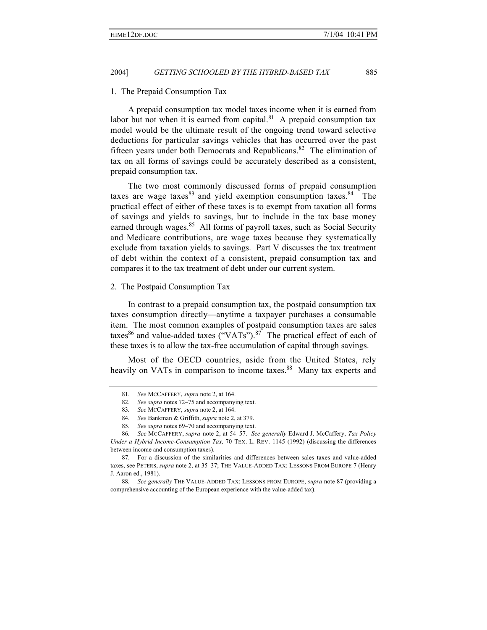#### 1. The Prepaid Consumption Tax

A prepaid consumption tax model taxes income when it is earned from labor but not when it is earned from capital. $81$  A prepaid consumption tax model would be the ultimate result of the ongoing trend toward selective deductions for particular savings vehicles that has occurred over the past fifteen years under both Democrats and Republicans.<sup>82</sup> The elimination of tax on all forms of savings could be accurately described as a consistent, prepaid consumption tax.

The two most commonly discussed forms of prepaid consumption taxes are wage taxes  $83$  and yield exemption consumption taxes.  $84$  The practical effect of either of these taxes is to exempt from taxation all forms of savings and yields to savings, but to include in the tax base money earned through wages.<sup>85</sup> All forms of payroll taxes, such as Social Security and Medicare contributions, are wage taxes because they systematically exclude from taxation yields to savings. Part V discusses the tax treatment of debt within the context of a consistent, prepaid consumption tax and compares it to the tax treatment of debt under our current system.

#### 2. The Postpaid Consumption Tax

In contrast to a prepaid consumption tax, the postpaid consumption tax taxes consumption directly—anytime a taxpayer purchases a consumable item. The most common examples of postpaid consumption taxes are sales taxes<sup>86</sup> and value-added taxes ("VATs").<sup>87</sup> The practical effect of each of these taxes is to allow the tax-free accumulation of capital through savings.

Most of the OECD countries, aside from the United States, rely heavily on VATs in comparison to income taxes.<sup>88</sup> Many tax experts and

<sup>81</sup>*. See* MCCAFFERY, *supra* note 2, at 164.

<sup>82</sup>*. See supra* notes 72–75 and accompanying text.

<sup>83</sup>*. See* MCCAFFERY, *supra* note 2, at 164.

<sup>84</sup>*. See* Bankman & Griffith, *supra* note 2, at 379.

<sup>85</sup>*. See supra* notes 69–70 and accompanying text.

<sup>86</sup>*. See* MCCAFFERY, *supra* note 2, at 54–57. *See generally* Edward J. McCaffery, *Tax Policy Under a Hybrid Income-Consumption Tax,* 70 TEX. L. REV. 1145 (1992) (discussing the differences between income and consumption taxes).

<sup>87.</sup> For a discussion of the similarities and differences between sales taxes and value-added taxes, see PETERS, *supra* note 2, at 35–37; THE VALUE-ADDED TAX: LESSONS FROM EUROPE 7 (Henry J. Aaron ed., 1981).

<sup>88</sup>*. See generally* THE VALUE-ADDED TAX: LESSONS FROM EUROPE, *supra* note 87 (providing a comprehensive accounting of the European experience with the value-added tax).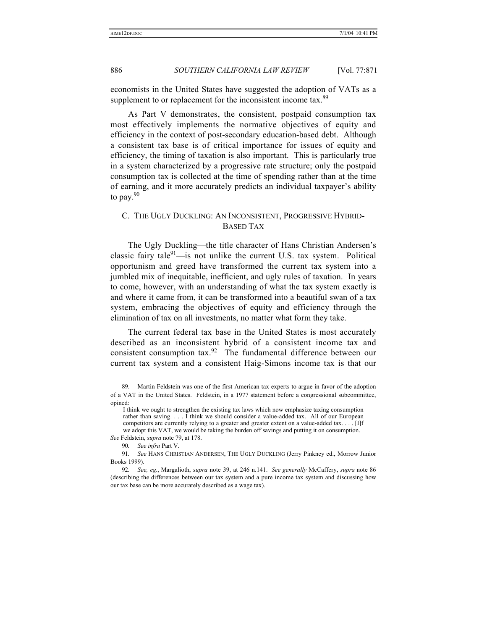economists in the United States have suggested the adoption of VATs as a supplement to or replacement for the inconsistent income tax.<sup>89</sup>

As Part V demonstrates, the consistent, postpaid consumption tax most effectively implements the normative objectives of equity and efficiency in the context of post-secondary education-based debt. Although a consistent tax base is of critical importance for issues of equity and efficiency, the timing of taxation is also important. This is particularly true in a system characterized by a progressive rate structure; only the postpaid consumption tax is collected at the time of spending rather than at the time of earning, and it more accurately predicts an individual taxpayer's ability to pay. $90$ 

## C. THE UGLY DUCKLING: AN INCONSISTENT, PROGRESSIVE HYBRID-BASED TAX

The Ugly Duckling—the title character of Hans Christian Andersen's classic fairy tale $91$ —is not unlike the current U.S. tax system. Political opportunism and greed have transformed the current tax system into a jumbled mix of inequitable, inefficient, and ugly rules of taxation. In years to come, however, with an understanding of what the tax system exactly is and where it came from, it can be transformed into a beautiful swan of a tax system, embracing the objectives of equity and efficiency through the elimination of tax on all investments, no matter what form they take.

The current federal tax base in the United States is most accurately described as an inconsistent hybrid of a consistent income tax and consistent consumption tax.<sup>92</sup> The fundamental difference between our current tax system and a consistent Haig-Simons income tax is that our

<sup>89.</sup> Martin Feldstein was one of the first American tax experts to argue in favor of the adoption of a VAT in the United States. Feldstein, in a 1977 statement before a congressional subcommittee, opined:

I think we ought to strengthen the existing tax laws which now emphasize taxing consumption rather than saving. . . . I think we should consider a value-added tax. All of our European competitors are currently relying to a greater and greater extent on a value-added tax. . . . [I]f we adopt this VAT, we would be taking the burden off savings and putting it on consumption. *See* Feldstein, *supra* note 79, at 178.

<sup>90</sup>*. See infra* Part V.

<sup>91</sup>*. See* HANS CHRISTIAN ANDERSEN, THE UGLY DUCKLING (Jerry Pinkney ed., Morrow Junior Books 1999).

<sup>92</sup>*. See, eg*., Margalioth, *supra* note 39, at 246 n.141. *See generally* McCaffery, *supra* note 86 (describing the differences between our tax system and a pure income tax system and discussing how our tax base can be more accurately described as a wage tax).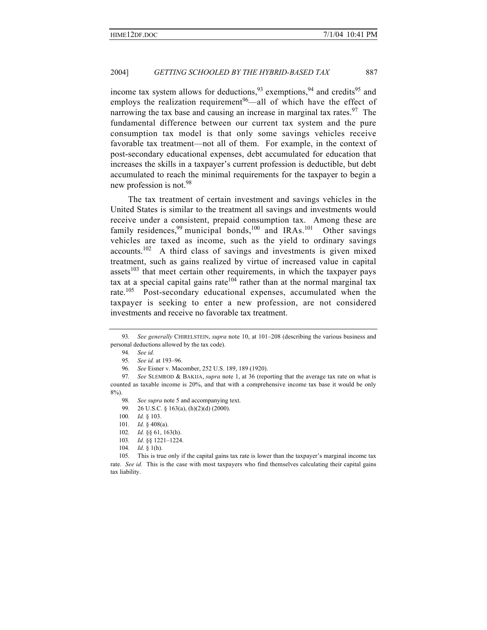income tax system allows for deductions,  $93$  exemptions,  $94$  and credits<sup>95</sup> and employs the realization requirement<sup>96</sup>—all of which have the effect of narrowing the tax base and causing an increase in marginal tax rates.<sup>97</sup> The fundamental difference between our current tax system and the pure consumption tax model is that only some savings vehicles receive favorable tax treatment—not all of them. For example, in the context of post-secondary educational expenses, debt accumulated for education that increases the skills in a taxpayer's current profession is deductible, but debt accumulated to reach the minimal requirements for the taxpayer to begin a new profession is not.<sup>98</sup>

The tax treatment of certain investment and savings vehicles in the United States is similar to the treatment all savings and investments would receive under a consistent, prepaid consumption tax. Among these are family residences,<sup>99</sup> municipal bonds,<sup>100</sup> and IRAs.<sup>101</sup> Other savings vehicles are taxed as income, such as the yield to ordinary savings  $accounts.102$  A third class of savings and investments is given mixed treatment, such as gains realized by virtue of increased value in capital assets $103$  that meet certain other requirements, in which the taxpayer pays tax at a special capital gains rate  $104$  rather than at the normal marginal tax rate.<sup>105</sup> Post-secondary educational expenses, accumulated when the taxpayer is seeking to enter a new profession, are not considered investments and receive no favorable tax treatment.

104*. Id*. § 1(h).

<sup>93</sup>*. See generally* CHIRELSTEIN, *supra* note 10, at 101–208 (describing the various business and personal deductions allowed by the tax code).

<sup>94</sup>*. See id.*

<sup>95</sup>*. See id.* at 193–96.

<sup>96</sup>*. See* Eisner v. Macomber, 252 U.S. 189, 189 (1920).

<sup>97</sup>*. See* SLEMROD & BAKIJA, *supra* note 1, at 36 (reporting that the average tax rate on what is counted as taxable income is 20%, and that with a comprehensive income tax base it would be only 8%).

<sup>98</sup>*. See supra* note 5 and accompanying text.

<sup>99</sup>*.* 26 U.S.C. § 163(a), (h)(2)(d) (2000).

<sup>100</sup>*. Id.* § 103.

<sup>101</sup>*. Id*. § 408(a).

<sup>102</sup>*. Id*. §§ 61, 163(h).

<sup>103</sup>*. Id*. §§ 1221–1224.

<sup>105.</sup> This is true only if the capital gains tax rate is lower than the taxpayer's marginal income tax rate. *See id.* This is the case with most taxpayers who find themselves calculating their capital gains tax liability.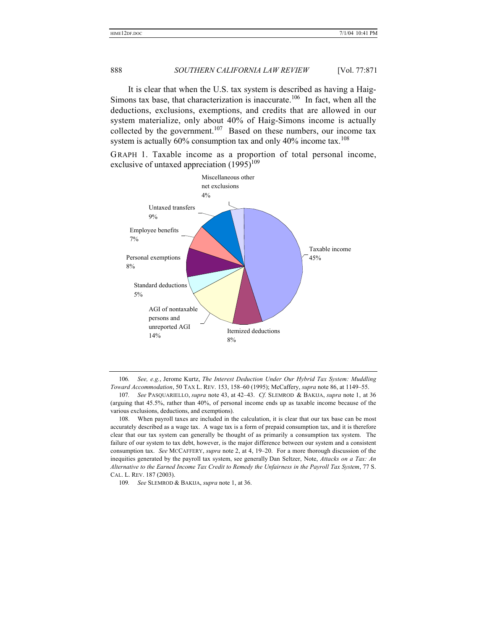It is clear that when the U.S. tax system is described as having a Haig-Simons tax base, that characterization is inaccurate.<sup>106</sup> In fact, when all the deductions, exclusions, exemptions, and credits that are allowed in our system materialize, only about 40% of Haig-Simons income is actually collected by the government.<sup>107</sup> Based on these numbers, our income tax system is actually  $60\%$  consumption tax and only  $40\%$  income tax.<sup>108</sup>

GRAPH 1. Taxable income as a proportion of total personal income, exclusive of untaxed appreciation  $(1995)^{109}$ 



106*. See, e.g.*, Jerome Kurtz, *The Interest Deduction Under Our Hybrid Tax System: Muddling Toward Accommodation*, 50 TAX L. REV. 153, 158–60 (1995); McCaffery, *supra* note 86, at 1149–55.

108. When payroll taxes are included in the calculation, it is clear that our tax base can be most accurately described as a wage tax. A wage tax is a form of prepaid consumption tax, and it is therefore clear that our tax system can generally be thought of as primarily a consumption tax system. The failure of our system to tax debt, however, is the major difference between our system and a consistent consumption tax. *See* MCCAFFERY, *supra* note 2, at 4, 19–20. For a more thorough discussion of the inequities generated by the payroll tax system, see generally Dan Seltzer, Note, *Attacks on a Tax: An Alternative to the Earned Income Tax Credit to Remedy the Unfairness in the Payroll Tax System*, 77 S. CAL. L. REV. 187 (2003).

109*. See* SLEMROD & BAKIJA, *supra* note 1, at 36.

<sup>107</sup>*. See* PASQUARIELLO, *supra* note 43, at 42–43. *Cf.* SLEMROD & BAKIJA, *supra* note 1, at 36 (arguing that 45.5%, rather than 40%, of personal income ends up as taxable income because of the various exclusions, deductions, and exemptions).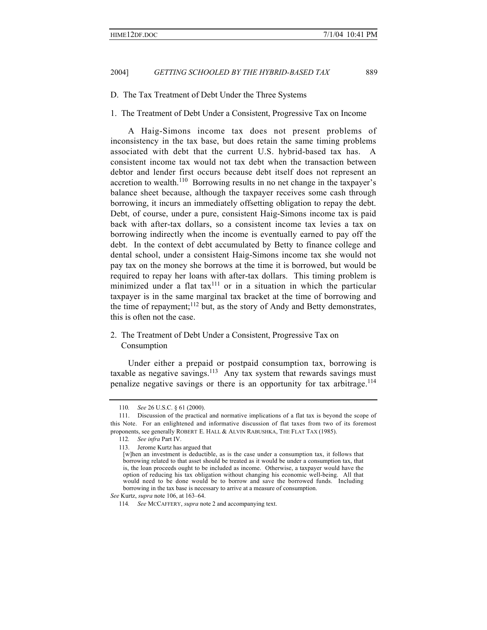D. The Tax Treatment of Debt Under the Three Systems

1. The Treatment of Debt Under a Consistent, Progressive Tax on Income

A Haig-Simons income tax does not present problems of inconsistency in the tax base, but does retain the same timing problems associated with debt that the current U.S. hybrid-based tax has. A consistent income tax would not tax debt when the transaction between debtor and lender first occurs because debt itself does not represent an accretion to wealth.<sup>110</sup> Borrowing results in no net change in the taxpayer's balance sheet because, although the taxpayer receives some cash through borrowing, it incurs an immediately offsetting obligation to repay the debt. Debt, of course, under a pure, consistent Haig-Simons income tax is paid back with after-tax dollars, so a consistent income tax levies a tax on borrowing indirectly when the income is eventually earned to pay off the debt. In the context of debt accumulated by Betty to finance college and dental school, under a consistent Haig-Simons income tax she would not pay tax on the money she borrows at the time it is borrowed, but would be required to repay her loans with after-tax dollars. This timing problem is minimized under a flat tax $111$  or in a situation in which the particular taxpayer is in the same marginal tax bracket at the time of borrowing and the time of repayment;<sup>112</sup> but, as the story of Andy and Betty demonstrates, this is often not the case.

## 2. The Treatment of Debt Under a Consistent, Progressive Tax on Consumption

Under either a prepaid or postpaid consumption tax, borrowing is taxable as negative savings.<sup>113</sup> Any tax system that rewards savings must penalize negative savings or there is an opportunity for tax arbitrage.<sup>114</sup>

<sup>110</sup>*. See* 26 U.S.C. § 61 (2000).

<sup>111.</sup> Discussion of the practical and normative implications of a flat tax is beyond the scope of this Note. For an enlightened and informative discussion of flat taxes from two of its foremost proponents, see generally ROBERT E. HALL & ALVIN RABUSHKA, THE FLAT TAX (1985).

<sup>112</sup>*. See infra* Part IV.

<sup>113.</sup> Jerome Kurtz has argued that

<sup>[</sup>w]hen an investment is deductible, as is the case under a consumption tax, it follows that borrowing related to that asset should be treated as it would be under a consumption tax, that is, the loan proceeds ought to be included as income. Otherwise, a taxpayer would have the option of reducing his tax obligation without changing his economic well-being. All that would need to be done would be to borrow and save the borrowed funds. Including borrowing in the tax base is necessary to arrive at a measure of consumption.

*See* Kurtz, *supra* note 106, at 163–64.

<sup>114</sup>*. See* MCCAFFERY, *supra* note 2 and accompanying text.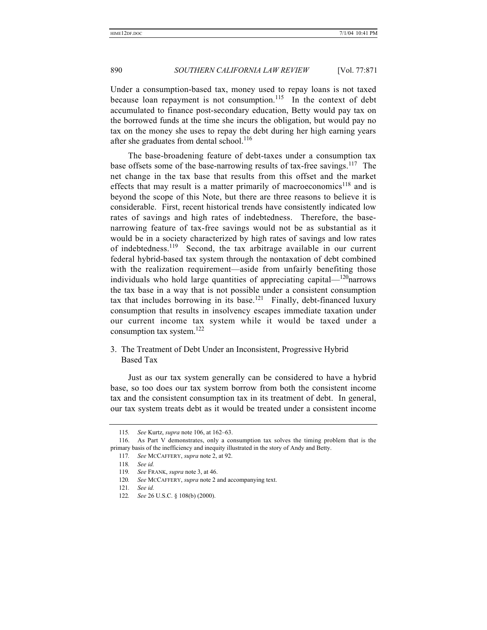Under a consumption-based tax, money used to repay loans is not taxed because loan repayment is not consumption.<sup>115</sup> In the context of debt accumulated to finance post-secondary education, Betty would pay tax on the borrowed funds at the time she incurs the obligation, but would pay no tax on the money she uses to repay the debt during her high earning years after she graduates from dental school.<sup>116</sup>

The base-broadening feature of debt-taxes under a consumption tax base offsets some of the base-narrowing results of tax-free savings.<sup>117</sup> The net change in the tax base that results from this offset and the market effects that may result is a matter primarily of macroeconomics<sup>118</sup> and is beyond the scope of this Note, but there are three reasons to believe it is considerable. First, recent historical trends have consistently indicated low rates of savings and high rates of indebtedness. Therefore, the basenarrowing feature of tax-free savings would not be as substantial as it would be in a society characterized by high rates of savings and low rates of indebtedness.<sup>119</sup> Second, the tax arbitrage available in our current federal hybrid-based tax system through the nontaxation of debt combined with the realization requirement—aside from unfairly benefiting those individuals who hold large quantities of appreciating capital—<sup>120</sup>narrows the tax base in a way that is not possible under a consistent consumption tax that includes borrowing in its base.<sup>121</sup> Finally, debt-financed luxury consumption that results in insolvency escapes immediate taxation under our current income tax system while it would be taxed under a consumption tax system.<sup>122</sup>

## 3. The Treatment of Debt Under an Inconsistent, Progressive Hybrid Based Tax

Just as our tax system generally can be considered to have a hybrid base, so too does our tax system borrow from both the consistent income tax and the consistent consumption tax in its treatment of debt. In general, our tax system treats debt as it would be treated under a consistent income

<sup>115</sup>*. See* Kurtz, *supra* note 106, at 162–63.

<sup>116.</sup> As Part V demonstrates, only a consumption tax solves the timing problem that is the primary basis of the inefficiency and inequity illustrated in the story of Andy and Betty.

<sup>117</sup>*. See* MCCAFFERY, *supra* note 2, at 92.

<sup>118</sup>*. See id.*

<sup>119</sup>*. See* FRANK, *supra* note 3, at 46.

<sup>120</sup>*. See* MCCAFFERY, *supra* note 2 and accompanying text.

<sup>121</sup>*. See id.*

<sup>122</sup>*. See* 26 U.S.C. § 108(b) (2000).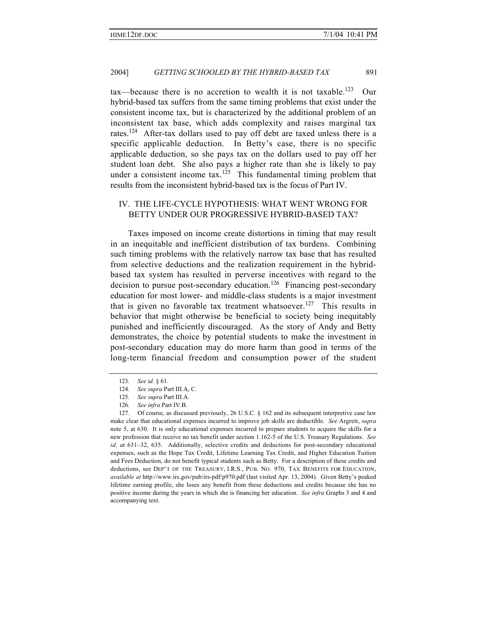$\text{tax}\text{—because there is no accretion to wealth it is not taxable.}^{123}$  Our hybrid-based tax suffers from the same timing problems that exist under the consistent income tax, but is characterized by the additional problem of an inconsistent tax base, which adds complexity and raises marginal tax rates.<sup>124</sup> After-tax dollars used to pay off debt are taxed unless there is a specific applicable deduction. In Betty's case, there is no specific applicable deduction, so she pays tax on the dollars used to pay off her student loan debt. She also pays a higher rate than she is likely to pay under a consistent income tax.<sup>125</sup> This fundamental timing problem that results from the inconsistent hybrid-based tax is the focus of Part IV.

## IV. THE LIFE-CYCLE HYPOTHESIS: WHAT WENT WRONG FOR BETTY UNDER OUR PROGRESSIVE HYBRID-BASED TAX?

Taxes imposed on income create distortions in timing that may result in an inequitable and inefficient distribution of tax burdens. Combining such timing problems with the relatively narrow tax base that has resulted from selective deductions and the realization requirement in the hybridbased tax system has resulted in perverse incentives with regard to the decision to pursue post-secondary education.<sup>126</sup> Financing post-secondary education for most lower- and middle-class students is a major investment that is given no favorable tax treatment whatsoever.<sup>127</sup> This results in behavior that might otherwise be beneficial to society being inequitably punished and inefficiently discouraged. As the story of Andy and Betty demonstrates, the choice by potential students to make the investment in post-secondary education may do more harm than good in terms of the long-term financial freedom and consumption power of the student

<sup>123</sup>*. See id*. § 61.

<sup>124</sup>*. See supra* Part III.A, C.

<sup>125</sup>*. See supra* Part III.A.

<sup>126</sup>*. See infra* Part IV.B.

<sup>127.</sup> Of course, as discussed previously, 26 U.S.C. § 162 and its subsequent interpretive case law make clear that educational expenses incurred to improve job skills are deductible. *See* Argrett, *supra* note 5, at 630. It is only educational expenses incurred to prepare students to acquire the skills for a new profession that receive no tax benefit under section 1.162-5 of the U.S. Treasury Regulations. *See id.* at 631–32, 635. Additionally, selective credits and deductions for post-secondary educational expenses, such as the Hope Tax Credit, Lifetime Learning Tax Credit, and Higher Education Tuition and Fees Deduction, do not benefit typical students such as Betty. For a description of these credits and deductions, see DEP'T OF THE TREASURY, I.R.S., PUB. NO. 970, TAX BENEFITS FOR EDUCATION, *available at* http://www.irs.gov/pub/irs-pdf/p970.pdf (last visited Apr. 13, 2004). Given Betty's peaked lifetime earning profile, she loses any benefit from these deductions and credits because she has no positive income during the years in which she is financing her education. *See infra* Graphs 3 and 4 and accompanying text.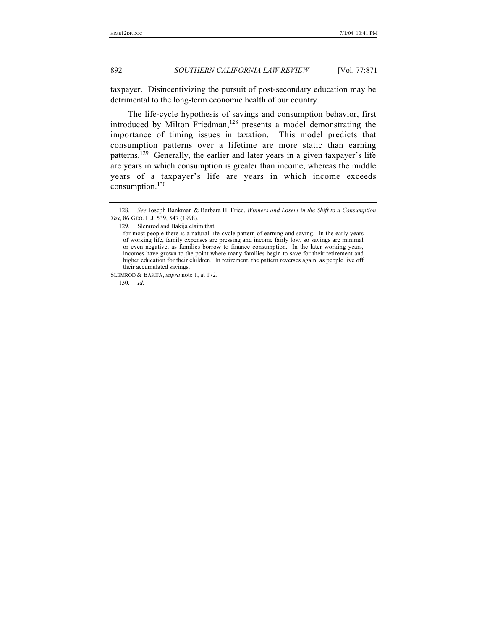taxpayer. Disincentivizing the pursuit of post-secondary education may be detrimental to the long-term economic health of our country.

The life-cycle hypothesis of savings and consumption behavior, first introduced by Milton Friedman,<sup>128</sup> presents a model demonstrating the importance of timing issues in taxation. This model predicts that consumption patterns over a lifetime are more static than earning patterns.<sup>129</sup> Generally, the earlier and later years in a given taxpayer's life are years in which consumption is greater than income, whereas the middle years of a taxpayer's life are years in which income exceeds consumption.<sup>130</sup>

129. Slemrod and Bakija claim that

<sup>128</sup>*. See* Joseph Bankman & Barbara H. Fried, *Winners and Losers in the Shift to a Consumption Tax*, 86 GEO. L.J. 539, 547 (1998).

for most people there is a natural life-cycle pattern of earning and saving. In the early years of working life, family expenses are pressing and income fairly low, so savings are minimal or even negative, as families borrow to finance consumption. In the later working years, incomes have grown to the point where many families begin to save for their retirement and higher education for their children. In retirement, the pattern reverses again, as people live off their accumulated savings.

SLEMROD & BAKIJA, *supra* note 1, at 172.

<sup>130</sup>*. Id.*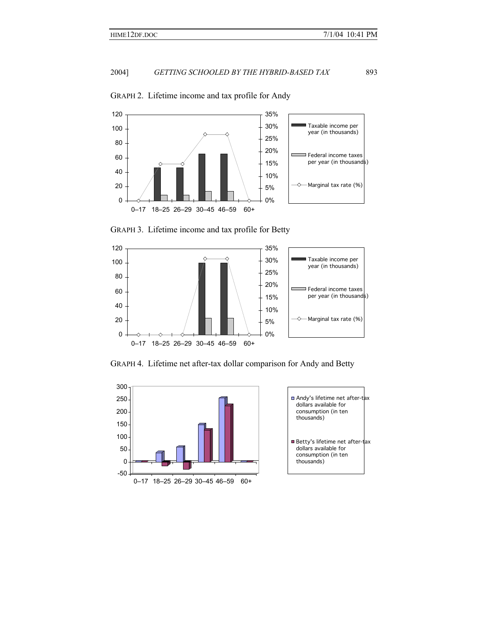

## GRAPH 2. Lifetime income and tax profile for Andy

GRAPH 3. Lifetime income and tax profile for Betty



GRAPH 4. Lifetime net after-tax dollar comparison for Andy and Betty



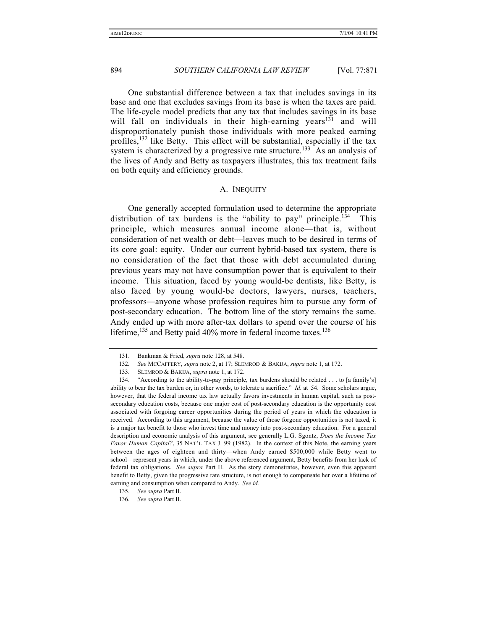One substantial difference between a tax that includes savings in its base and one that excludes savings from its base is when the taxes are paid. The life-cycle model predicts that any tax that includes savings in its base will fall on individuals in their high-earning years<sup>131</sup> and will disproportionately punish those individuals with more peaked earning profiles,  $132$  like Betty. This effect will be substantial, especially if the tax system is characterized by a progressive rate structure.<sup>133</sup> As an analysis of the lives of Andy and Betty as taxpayers illustrates, this tax treatment fails on both equity and efficiency grounds.

## A. INEQUITY

One generally accepted formulation used to determine the appropriate distribution of tax burdens is the "ability to pay" principle.<sup>134</sup> This principle, which measures annual income alone—that is, without consideration of net wealth or debt—leaves much to be desired in terms of its core goal: equity. Under our current hybrid-based tax system, there is no consideration of the fact that those with debt accumulated during previous years may not have consumption power that is equivalent to their income. This situation, faced by young would-be dentists, like Betty, is also faced by young would-be doctors, lawyers, nurses, teachers, professors—anyone whose profession requires him to pursue any form of post-secondary education. The bottom line of the story remains the same. Andy ended up with more after-tax dollars to spend over the course of his lifetime,  $^{135}$  and Betty paid 40% more in federal income taxes.  $^{136}$ 

<sup>131.</sup> Bankman & Fried, *supra* note 128, at 548.

<sup>132</sup>*. See* MCCAFFERY, *supra* note 2, at 17; SLEMROD & BAKIJA, *supra* note 1, at 172.

<sup>133.</sup> SLEMROD & BAKIJA, *supra* note 1, at 172.

<sup>134.</sup> "According to the ability-to-pay principle, tax burdens should be related . . . to [a family's] ability to bear the tax burden or, in other words, to tolerate a sacrifice." *Id*. at 54. Some scholars argue, however, that the federal income tax law actually favors investments in human capital, such as postsecondary education costs, because one major cost of post-secondary education is the opportunity cost associated with forgoing career opportunities during the period of years in which the education is received. According to this argument, because the value of those forgone opportunities is not taxed, it is a major tax benefit to those who invest time and money into post-secondary education. For a general description and economic analysis of this argument, see generally L.G. Sgontz, *Does the Income Tax Favor Human Capital?*, 35 NAT'L TAX J. 99 (1982). In the context of this Note, the earning years between the ages of eighteen and thirty—when Andy earned \$500,000 while Betty went to school—represent years in which, under the above referenced argument, Betty benefits from her lack of federal tax obligations. *See supra* Part II. As the story demonstrates, however, even this apparent benefit to Betty, given the progressive rate structure, is not enough to compensate her over a lifetime of earning and consumption when compared to Andy. *See id.*

<sup>135</sup>*. See supra* Part II.

<sup>136</sup>*. See supra* Part II.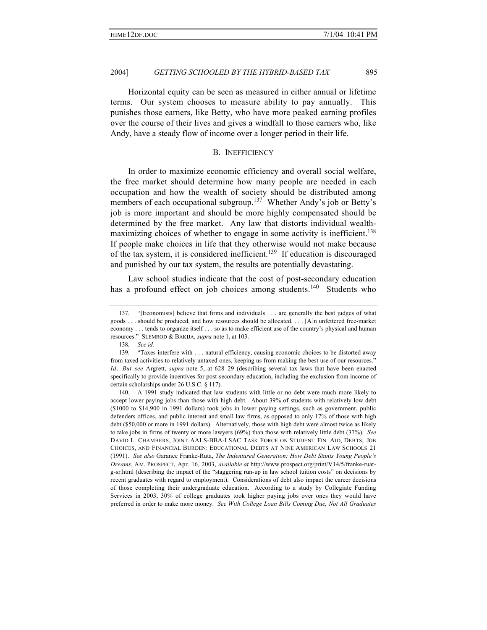Horizontal equity can be seen as measured in either annual or lifetime terms. Our system chooses to measure ability to pay annually. This punishes those earners, like Betty, who have more peaked earning profiles over the course of their lives and gives a windfall to those earners who, like Andy, have a steady flow of income over a longer period in their life.

### B. INEFFICIENCY

In order to maximize economic efficiency and overall social welfare, the free market should determine how many people are needed in each occupation and how the wealth of society should be distributed among members of each occupational subgroup.<sup>137</sup> Whether Andy's job or Betty's job is more important and should be more highly compensated should be determined by the free market. Any law that distorts individual wealthmaximizing choices of whether to engage in some activity is inefficient.<sup>138</sup> If people make choices in life that they otherwise would not make because of the tax system, it is considered inefficient.<sup>139</sup> If education is discouraged and punished by our tax system, the results are potentially devastating.

Law school studies indicate that the cost of post-secondary education has a profound effect on job choices among students.<sup>140</sup> Students who

<sup>137.</sup> "[Economists] believe that firms and individuals . . . are generally the best judges of what goods . . . should be produced, and how resources should be allocated. . . . [A]n unfettered free-market economy . . . tends to organize itself . . . so as to make efficient use of the country's physical and human resources." SLEMROD & BAKIJA, *supra* note 1, at 103.

<sup>138</sup>*. See id.*

<sup>139.</sup> "Taxes interfere with . . . natural efficiency, causing economic choices to be distorted away from taxed activities to relatively untaxed ones, keeping us from making the best use of our resources." *Id*. *But see* Argrett, *supra* note 5, at 628–29 (describing several tax laws that have been enacted specifically to provide incentives for post-secondary education, including the exclusion from income of certain scholarships under 26 U.S.C. § 117).

<sup>140.</sup> A 1991 study indicated that law students with little or no debt were much more likely to accept lower paying jobs than those with high debt. About 39% of students with relatively low debt (\$1000 to \$14,900 in 1991 dollars) took jobs in lower paying settings, such as government, public defenders offices, and public interest and small law firms, as opposed to only 17% of those with high debt (\$50,000 or more in 1991 dollars). Alternatively, those with high debt were almost twice as likely to take jobs in firms of twenty or more lawyers (69%) than those with relatively little debt (37%). *See* DAVID L. CHAMBERS, JOINT AALS-BBA-LSAC TASK FORCE ON STUDENT FIN. AID, DEBTS, JOB CHOICES, AND FINANCIAL BURDEN: EDUCATIONAL DEBTS AT NINE AMERICAN LAW SCHOOLS 21 (1991). *See also* Garance Franke-Ruta, *The Indentured Generation: How Debt Stunts Young People's Dreams*, AM. PROSPECT, Apr. 16, 2003, *available at* http://www.prospect.org/print/V14/5/franke-ruatg-sr.html (describing the impact of the "staggering run-up in law school tuition costs" on decisions by recent graduates with regard to employment). Considerations of debt also impact the career decisions of those completing their undergraduate education. According to a study by Collegiate Funding Services in 2003, 30% of college graduates took higher paying jobs over ones they would have preferred in order to make more money. *See With College Loan Bills Coming Due, Not All Graduates*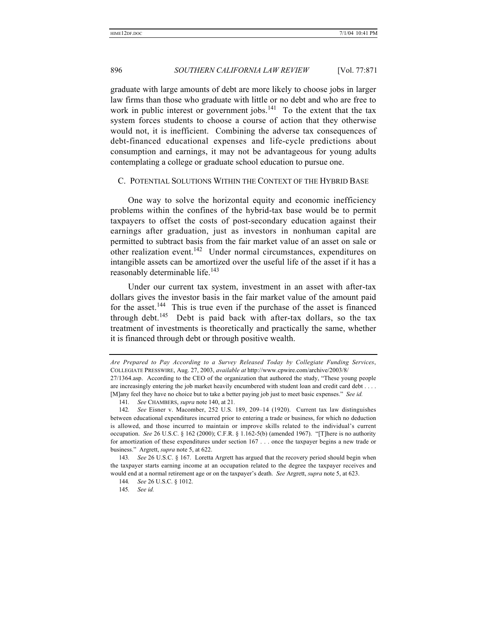graduate with large amounts of debt are more likely to choose jobs in larger law firms than those who graduate with little or no debt and who are free to work in public interest or government jobs. $^{141}$  To the extent that the tax system forces students to choose a course of action that they otherwise would not, it is inefficient. Combining the adverse tax consequences of debt-financed educational expenses and life-cycle predictions about consumption and earnings, it may not be advantageous for young adults contemplating a college or graduate school education to pursue one.

### C. POTENTIAL SOLUTIONS WITHIN THE CONTEXT OF THE HYBRID BASE

One way to solve the horizontal equity and economic inefficiency problems within the confines of the hybrid-tax base would be to permit taxpayers to offset the costs of post-secondary education against their earnings after graduation, just as investors in nonhuman capital are permitted to subtract basis from the fair market value of an asset on sale or other realization event.<sup>142</sup> Under normal circumstances, expenditures on intangible assets can be amortized over the useful life of the asset if it has a reasonably determinable life.<sup>143</sup>

Under our current tax system, investment in an asset with after-tax dollars gives the investor basis in the fair market value of the amount paid for the asset.<sup>144</sup> This is true even if the purchase of the asset is financed through debt.<sup>145</sup> Debt is paid back with after-tax dollars, so the tax treatment of investments is theoretically and practically the same, whether it is financed through debt or through positive wealth.

*Are Prepared to Pay According to a Survey Released Today by Collegiate Funding Services*, COLLEGIATE PRESSWIRE, Aug. 27, 2003, *available at* http://www.cpwire.com/archive/2003/8/

<sup>27/1364.</sup>asp. According to the CEO of the organization that authored the study, "These young people are increasingly entering the job market heavily encumbered with student loan and credit card debt . . . . [M]any feel they have no choice but to take a better paying job just to meet basic expenses." *See id.*

<sup>141</sup>*. See* CHAMBERS, *supra* note 140, at 21*.*

<sup>142</sup>*. See* Eisner v. Macomber, 252 U.S. 189, 209–14 (1920). Current tax law distinguishes between educational expenditures incurred prior to entering a trade or business, for which no deduction is allowed, and those incurred to maintain or improve skills related to the individual's current occupation. *See* 26 U.S.C. § 162 (2000); C.F.R. § 1.162-5(b) (amended 1967). "[T]here is no authority for amortization of these expenditures under section 167 . . . once the taxpayer begins a new trade or business." Argrett, *supra* note 5, at 622.

<sup>143</sup>*. See* 26 U.S.C. § 167. Loretta Argrett has argued that the recovery period should begin when the taxpayer starts earning income at an occupation related to the degree the taxpayer receives and would end at a normal retirement age or on the taxpayer's death. *See* Argrett, *supra* note 5, at 623.

<sup>144</sup>*. See* 26 U.S.C. § 1012.

<sup>145</sup>*. See id.*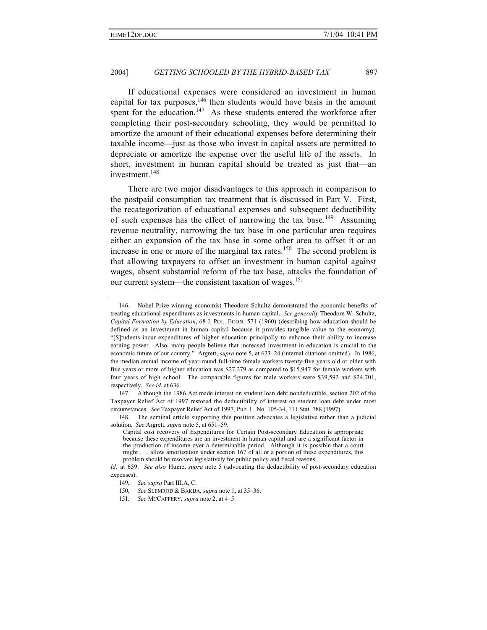If educational expenses were considered an investment in human capital for tax purposes, $146$  then students would have basis in the amount spent for the education.<sup>147</sup> As these students entered the workforce after completing their post-secondary schooling, they would be permitted to amortize the amount of their educational expenses before determining their taxable income—just as those who invest in capital assets are permitted to depreciate or amortize the expense over the useful life of the assets. In short, investment in human capital should be treated as just that—an investment.<sup>148</sup>

There are two major disadvantages to this approach in comparison to the postpaid consumption tax treatment that is discussed in Part V. First, the recategorization of educational expenses and subsequent deductibility of such expenses has the effect of narrowing the tax base.<sup>149</sup> Assuming revenue neutrality, narrowing the tax base in one particular area requires either an expansion of the tax base in some other area to offset it or an increase in one or more of the marginal tax rates.<sup>150</sup> The second problem is that allowing taxpayers to offset an investment in human capital against wages, absent substantial reform of the tax base, attacks the foundation of our current system—the consistent taxation of wages.<sup>151</sup>

<sup>146.</sup> Nobel Prize-winning economist Theodore Schultz demonstrated the economic benefits of treating educational expenditures as investments in human capital. *See generally* Theodore W. Schultz, *Capital Formation by Education*, 68 J. POL. ECON. 571 (1960) (describing how education should be defined as an investment in human capital because it provides tangible value to the economy). "[S]tudents incur expenditures of higher education principally to enhance their ability to increase earning power. Also, many people believe that increased investment in education is crucial to the economic future of our country." Argrett, *supra* note 5, at 623–24 (internal citations omitted). In 1986, the median annual income of year-round full-time female workers twenty-five years old or older with five years or more of higher education was \$27,279 as compared to \$15,947 for female workers with four years of high school. The comparable figures for male workers were \$39,592 and \$24,701, respectively. *See id.* at 636.

<sup>147.</sup> Although the 1986 Act made interest on student loan debt nondeductible, section 202 of the Taxpayer Relief Act of 1997 restored the deductibility of interest on student loan debt under most circumstances. *See* Taxpayer Relief Act of 1997, Pub. L. No. 105-34, 111 Stat. 788 (1997).

<sup>148.</sup> The seminal article supporting this position advocates a legislative rather than a judicial solution. *See* Argrett, *supra* note 5, at 651–59.

Capital cost recovery of Expenditures for Certain Post-secondary Education is appropriate because these expenditures are an investment in human capital and are a significant factor in the production of income over a determinable period. Although it is possible that a court might . . . allow amortization under section 167 of all or a portion of these expenditures, this problem should be resolved legislatively for public policy and fiscal reasons.

*Id.* at 659. *See also* Hume, *supra* note 5 (advocating the deductibility of post-secondary education expenses).

<sup>149</sup>*. See supra* Part III.A, C.

<sup>150</sup>*. See* SLEMROD & BAKIJA, *supra* note 1, at 35–36.

<sup>151</sup>*. See* MCCAFFERY, *supra* note 2, at 4–5.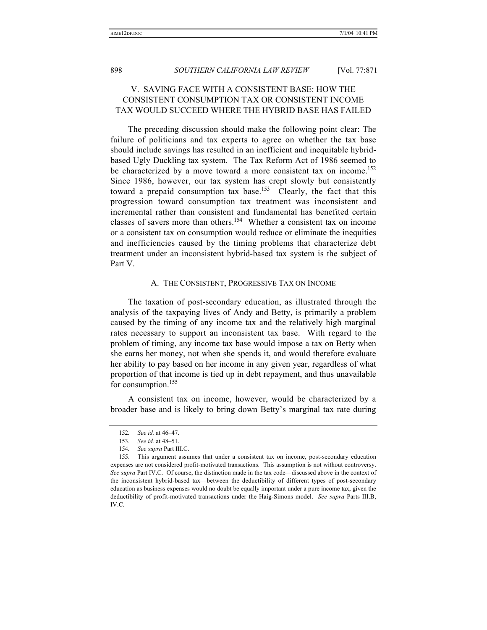## V. SAVING FACE WITH A CONSISTENT BASE: HOW THE CONSISTENT CONSUMPTION TAX OR CONSISTENT INCOME TAX WOULD SUCCEED WHERE THE HYBRID BASE HAS FAILED

The preceding discussion should make the following point clear: The failure of politicians and tax experts to agree on whether the tax base should include savings has resulted in an inefficient and inequitable hybridbased Ugly Duckling tax system. The Tax Reform Act of 1986 seemed to be characterized by a move toward a more consistent tax on income.<sup>152</sup> Since 1986, however, our tax system has crept slowly but consistently toward a prepaid consumption tax base.<sup>153</sup> Clearly, the fact that this progression toward consumption tax treatment was inconsistent and incremental rather than consistent and fundamental has benefited certain classes of savers more than others.<sup>154</sup> Whether a consistent tax on income or a consistent tax on consumption would reduce or eliminate the inequities and inefficiencies caused by the timing problems that characterize debt treatment under an inconsistent hybrid-based tax system is the subject of Part V.

### A. THE CONSISTENT, PROGRESSIVE TAX ON INCOME

The taxation of post-secondary education, as illustrated through the analysis of the taxpaying lives of Andy and Betty, is primarily a problem caused by the timing of any income tax and the relatively high marginal rates necessary to support an inconsistent tax base. With regard to the problem of timing, any income tax base would impose a tax on Betty when she earns her money, not when she spends it, and would therefore evaluate her ability to pay based on her income in any given year, regardless of what proportion of that income is tied up in debt repayment, and thus unavailable for consumption.<sup>155</sup>

A consistent tax on income, however, would be characterized by a broader base and is likely to bring down Betty's marginal tax rate during

<sup>152</sup>*. See id.* at 46–47.

<sup>153</sup>*. See id.* at 48–51.

<sup>154</sup>*. See supra* Part III.C.

<sup>155.</sup> This argument assumes that under a consistent tax on income, post-secondary education expenses are not considered profit-motivated transactions. This assumption is not without controversy. *See supra* Part IV.C. Of course, the distinction made in the tax code—discussed above in the context of the inconsistent hybrid-based tax—between the deductibility of different types of post-secondary education as business expenses would no doubt be equally important under a pure income tax, given the deductibility of profit-motivated transactions under the Haig-Simons model. *See supra* Parts III.B, IV.C.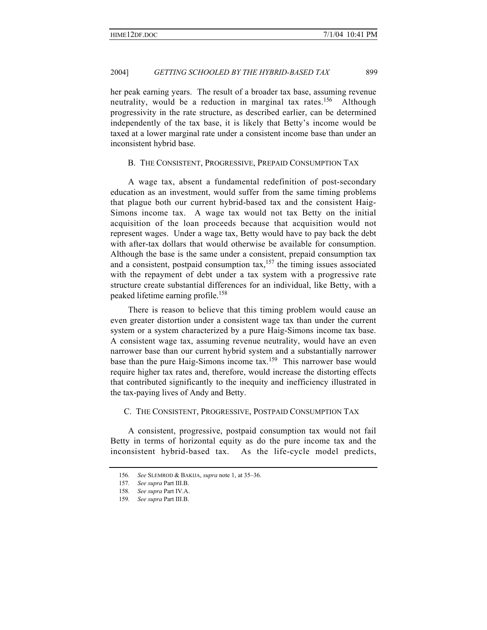her peak earning years. The result of a broader tax base, assuming revenue neutrality, would be a reduction in marginal tax rates.<sup>156</sup> Although progressivity in the rate structure, as described earlier, can be determined independently of the tax base, it is likely that Betty's income would be taxed at a lower marginal rate under a consistent income base than under an inconsistent hybrid base.

## B. THE CONSISTENT, PROGRESSIVE, PREPAID CONSUMPTION TAX

A wage tax, absent a fundamental redefinition of post-secondary education as an investment, would suffer from the same timing problems that plague both our current hybrid-based tax and the consistent Haig-Simons income tax. A wage tax would not tax Betty on the initial acquisition of the loan proceeds because that acquisition would not represent wages. Under a wage tax, Betty would have to pay back the debt with after-tax dollars that would otherwise be available for consumption. Although the base is the same under a consistent, prepaid consumption tax and a consistent, postpaid consumption  $\text{tax},^{157}$  the timing issues associated with the repayment of debt under a tax system with a progressive rate structure create substantial differences for an individual, like Betty, with a peaked lifetime earning profile.<sup>158</sup>

There is reason to believe that this timing problem would cause an even greater distortion under a consistent wage tax than under the current system or a system characterized by a pure Haig-Simons income tax base. A consistent wage tax, assuming revenue neutrality, would have an even narrower base than our current hybrid system and a substantially narrower base than the pure Haig-Simons income tax.<sup>159</sup> This narrower base would require higher tax rates and, therefore, would increase the distorting effects that contributed significantly to the inequity and inefficiency illustrated in the tax-paying lives of Andy and Betty.

## C. THE CONSISTENT, PROGRESSIVE, POSTPAID CONSUMPTION TAX

A consistent, progressive, postpaid consumption tax would not fail Betty in terms of horizontal equity as do the pure income tax and the inconsistent hybrid-based tax. As the life-cycle model predicts,

<sup>156</sup>*. See* SLEMROD & BAKIJA, *supra* note 1, at 35–36.

<sup>157</sup>*. See supra* Part III.B.

<sup>158</sup>*. See supra* Part IV.A.

<sup>159</sup>*. See supra* Part III.B.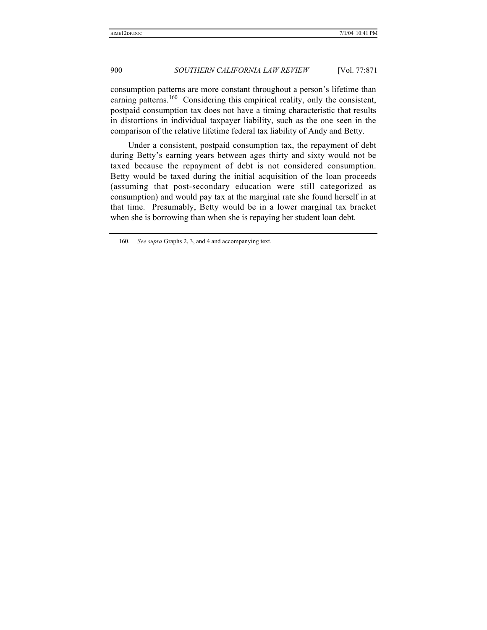consumption patterns are more constant throughout a person's lifetime than earning patterns.<sup>160</sup> Considering this empirical reality, only the consistent, postpaid consumption tax does not have a timing characteristic that results in distortions in individual taxpayer liability, such as the one seen in the comparison of the relative lifetime federal tax liability of Andy and Betty.

Under a consistent, postpaid consumption tax, the repayment of debt during Betty's earning years between ages thirty and sixty would not be taxed because the repayment of debt is not considered consumption. Betty would be taxed during the initial acquisition of the loan proceeds (assuming that post-secondary education were still categorized as consumption) and would pay tax at the marginal rate she found herself in at that time. Presumably, Betty would be in a lower marginal tax bracket when she is borrowing than when she is repaying her student loan debt.

<sup>160</sup>*. See supra* Graphs 2, 3, and 4 and accompanying text.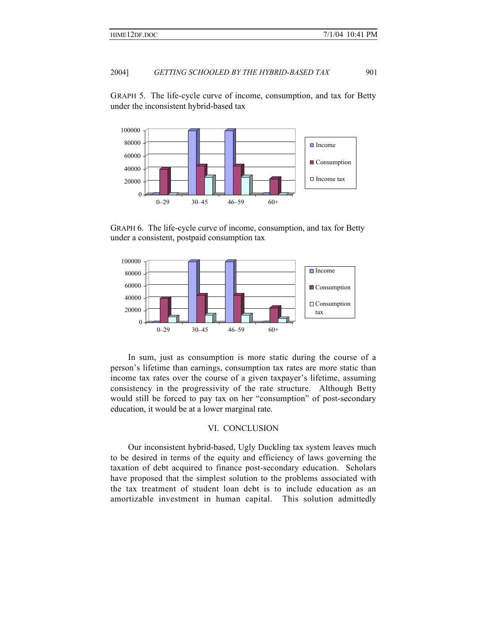GRAPH 5. The life-cycle curve of income, consumption, and tax for Betty under the inconsistent hybrid-based tax



GRAPH 6. The life-cycle curve of income, consumption, and tax for Betty under a consistent, postpaid consumption tax



In sum, just as consumption is more static during the course of a person's lifetime than earnings, consumption tax rates are more static than income tax rates over the course of a given taxpayer's lifetime, assuming consistency in the progressivity of the rate structure. Although Betty would still be forced to pay tax on her "consumption" of post-secondary education, it would be at a lower marginal rate.

## VI. CONCLUSION

Our inconsistent hybrid-based, Ugly Duckling tax system leaves much to be desired in terms of the equity and efficiency of laws governing the taxation of debt acquired to finance post-secondary education. Scholars have proposed that the simplest solution to the problems associated with the tax treatment of student loan debt is to include education as an amortizable investment in human capital. This solution admittedly